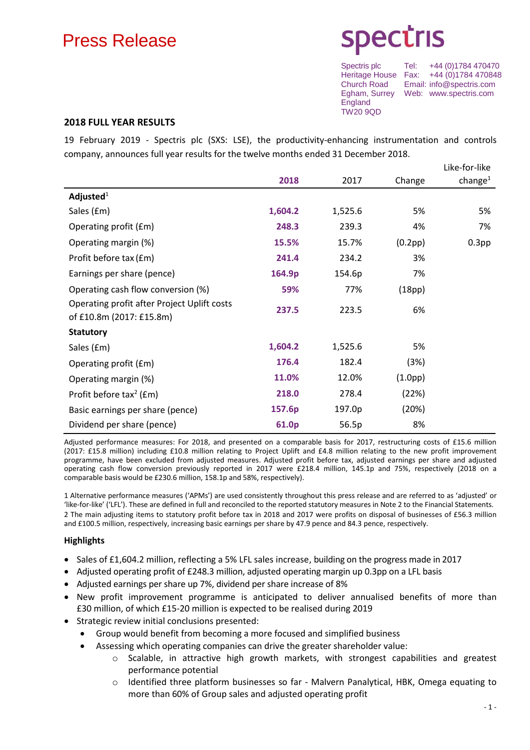# Press Release

Egham, Surrey Web: www.spectris.com **England** TW20 9QD

Spectris plc Tel: +44 (0)1784 470470 Heritage House Fax: +44 (0)1784 470848<br>Church Road Email: info@spectris.com Email: info@spectris.com

### **2018 FULL YEAR RESULTS**

19 February 2019 - Spectris plc (SXS: LSE), the productivity-enhancing instrumentation and controls company, announces full year results for the twelve months ended 31 December 2018.

|                                                                         |         |         |                      | Like-for-like     |
|-------------------------------------------------------------------------|---------|---------|----------------------|-------------------|
|                                                                         | 2018    | 2017    | Change               | change $^1$       |
| Adjusted $1$                                                            |         |         |                      |                   |
| Sales (£m)                                                              | 1,604.2 | 1,525.6 | 5%                   | 5%                |
| Operating profit (£m)                                                   | 248.3   | 239.3   | 4%                   | 7%                |
| Operating margin (%)                                                    | 15.5%   | 15.7%   | (0.2pp)              | 0.3 <sub>pp</sub> |
| Profit before tax (£m)                                                  | 241.4   | 234.2   | 3%                   |                   |
| Earnings per share (pence)                                              | 164.9p  | 154.6p  | 7%                   |                   |
| Operating cash flow conversion (%)                                      | 59%     | 77%     | (18pp)               |                   |
| Operating profit after Project Uplift costs<br>of £10.8m (2017: £15.8m) | 237.5   | 223.5   | 6%                   |                   |
| <b>Statutory</b>                                                        |         |         |                      |                   |
| Sales (£m)                                                              | 1,604.2 | 1,525.6 | 5%                   |                   |
| Operating profit (£m)                                                   | 176.4   | 182.4   | (3%)                 |                   |
| Operating margin (%)                                                    | 11.0%   | 12.0%   | (1.0 <sub>pp</sub> ) |                   |
| Profit before tax <sup>2</sup> ( $Em$ )                                 | 218.0   | 278.4   | (22%)                |                   |
| Basic earnings per share (pence)                                        | 157.6p  | 197.0p  | (20%)                |                   |
| Dividend per share (pence)                                              | 61.0p   | 56.5p   | 8%                   |                   |

Adjusted performance measures: For 2018, and presented on a comparable basis for 2017, restructuring costs of £15.6 million (2017: £15.8 million) including £10.8 million relating to Project Uplift and £4.8 million relating to the new profit improvement programme, have been excluded from adjusted measures. Adjusted profit before tax, adjusted earnings per share and adjusted operating cash flow conversion previously reported in 2017 were £218.4 million, 145.1p and 75%, respectively (2018 on a comparable basis would be £230.6 million, 158.1p and 58%, respectively).

1 Alternative performance measures ('APMs') are used consistently throughout this press release and are referred to as 'adjusted' or 'like-for-like' ('LFL'). These are defined in full and reconciled to the reported statutory measures in Note 2 to the Financial Statements. 2 The main adjusting items to statutory profit before tax in 2018 and 2017 were profits on disposal of businesses of £56.3 million and £100.5 million, respectively, increasing basic earnings per share by 47.9 pence and 84.3 pence, respectively.

### **Highlights**

- Sales of £1,604.2 million, reflecting a 5% LFL sales increase, building on the progress made in 2017
- Adjusted operating profit of £248.3 million, adjusted operating margin up 0.3pp on a LFL basis
- Adjusted earnings per share up 7%, dividend per share increase of 8%
- New profit improvement programme is anticipated to deliver annualised benefits of more than £30 million, of which £15-20 million is expected to be realised during 2019
- Strategic review initial conclusions presented:
	- Group would benefit from becoming a more focused and simplified business
	- Assessing which operating companies can drive the greater shareholder value:
		- $\circ$  Scalable, in attractive high growth markets, with strongest capabilities and greatest performance potential
		- Identified three platform businesses so far Malvern Panalytical, HBK, Omega equating to more than 60% of Group sales and adjusted operating profit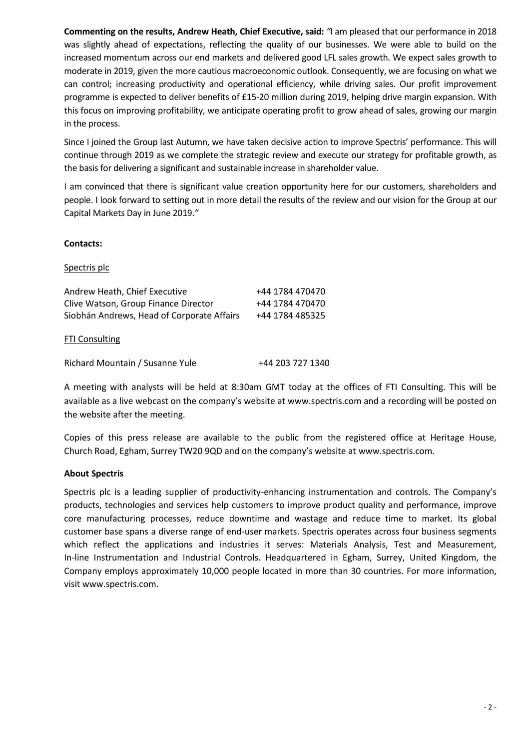**Commenting on the results, Andrew Heath, Chief Executive, said:** *"*I am pleased that our performance in 2018 was slightly ahead of expectations, reflecting the quality of our businesses. We were able to build on the increased momentum across our end markets and delivered good LFL sales growth. We expect sales growth to moderate in 2019, given the more cautious macroeconomic outlook. Consequently, we are focusing on what we can control; increasing productivity and operational efficiency, while driving sales. Our profit improvement programme is expected to deliver benefits of £15-20 million during 2019, helping drive margin expansion. With this focus on improving profitability, we anticipate operating profit to grow ahead of sales, growing our margin in the process.

Since I joined the Group last Autumn, we have taken decisive action to improve Spectris' performance. This will continue through 2019 as we complete the strategic review and execute our strategy for profitable growth, as the basis for delivering a significant and sustainable increase in shareholder value.

I am convinced that there is significant value creation opportunity here for our customers, shareholders and people. I look forward to setting out in more detail the results of the review and our vision for the Group at our Capital Markets Day in June 2019.*"*

### **Contacts:**

### Spectris plc

| Andrew Heath, Chief Executive<br>Clive Watson, Group Finance Director<br>Siobhán Andrews, Head of Corporate Affairs | +44 1784 470470<br>+44 1784 470470<br>+44 1784 485325 |
|---------------------------------------------------------------------------------------------------------------------|-------------------------------------------------------|
| <b>FTI Consulting</b>                                                                                               |                                                       |
| Richard Mountain / Susanne Yule                                                                                     | +44 203 727 1340                                      |

A meeting with analysts will be held at 8:30am GMT today at the offices of FTI Consulting. This will be available as a live webcast on the company's website at [www.spectris.com](http://www.spectris.com/) and a recording will be posted on the website after the meeting.

Copies of this press release are available to the public from the registered office at Heritage House, Church Road, Egham, Surrey TW20 9QD and on the company's website at [www.spectris.com.](http://www.spectris.com/)

### **About Spectris**

Spectris plc is a leading supplier of productivity-enhancing instrumentation and controls. The Company's products, technologies and services help customers to improve product quality and performance, improve core manufacturing processes, reduce downtime and wastage and reduce time to market. Its global customer base spans a diverse range of end-user markets. Spectris operates across four business segments which reflect the applications and industries it serves: Materials Analysis, Test and Measurement, In-line Instrumentation and Industrial Controls. Headquartered in Egham, Surrey, United Kingdom, the Company employs approximately 10,000 people located in more than 30 countries. For more information, visi[t www.spectris.com.](http://www.spectris.com/)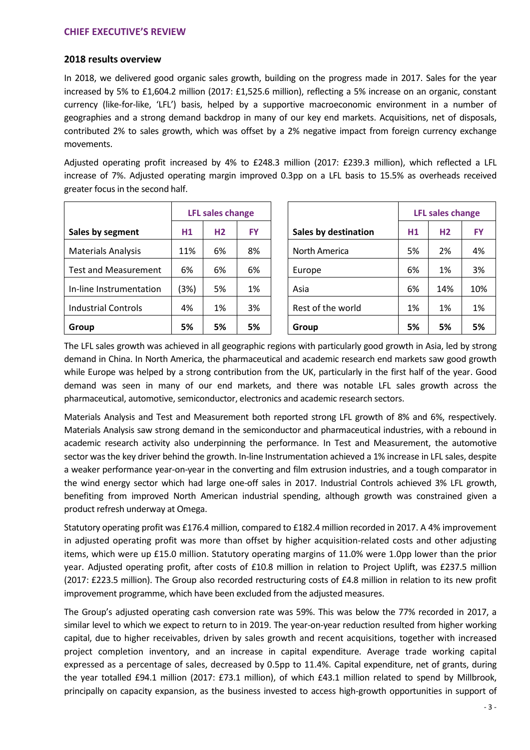### **2018 results overview**

In 2018, we delivered good organic sales growth, building on the progress made in 2017. Sales for the year increased by 5% to £1,604.2 million (2017: £1,525.6 million), reflecting a 5% increase on an organic, constant currency (like-for-like, 'LFL') basis, helped by a supportive macroeconomic environment in a number of geographies and a strong demand backdrop in many of our key end markets. Acquisitions, net of disposals, contributed 2% to sales growth, which was offset by a 2% negative impact from foreign currency exchange movements.

Adjusted operating profit increased by 4% to £248.3 million (2017: £239.3 million), which reflected a LFL increase of 7%. Adjusted operating margin improved 0.3pp on a LFL basis to 15.5% as overheads received greater focus in the second half.

|                             |                | <b>LFL sales change</b> |           |                      |                | <b>LFL sales change</b> |           |
|-----------------------------|----------------|-------------------------|-----------|----------------------|----------------|-------------------------|-----------|
| Sales by segment            | H <sub>1</sub> | H2                      | <b>FY</b> | Sales by destination | H <sub>1</sub> | H2                      | <b>FY</b> |
| <b>Materials Analysis</b>   | 11%            | 6%                      | 8%        | North America        | 5%             | 2%                      | 4%        |
| <b>Test and Measurement</b> | 6%             | 6%                      | 6%        | Europe               | 6%             | 1%                      | 3%        |
| In-line Instrumentation     | (3%)           | 5%                      | 1%        | Asia                 | 6%             | 14%                     | 10%       |
| <b>Industrial Controls</b>  | 4%             | 1%                      | 3%        | Rest of the world    | 1%             | 1%                      | 1%        |
| Group                       | 5%             | 5%                      | 5%        | Group                | 5%             | 5%                      | 5%        |

| <b>LFL sales change</b> |                |           | <b>LFL sales change</b>     |    |                |           |
|-------------------------|----------------|-----------|-----------------------------|----|----------------|-----------|
| H <sub>1</sub>          | H <sub>2</sub> | <b>FY</b> | <b>Sales by destination</b> | H1 | H <sub>2</sub> | <b>FY</b> |
| 1%                      | 6%             | 8%        | North America               | 5% | 2%             | 4%        |
| 6%                      | 6%             | 6%        | Europe                      | 6% | 1%             | 3%        |
| 3%)                     | 5%             | 1%        | Asia                        | 6% | 14%            | 10%       |
| 4%                      | 1%             | 3%        | Rest of the world           | 1% | 1%             | 1%        |
| 5%                      | 5%             | 5%        | Group                       | 5% | 5%             | 5%        |

The LFL sales growth was achieved in all geographic regions with particularly good growth in Asia, led by strong demand in China. In North America, the pharmaceutical and academic research end markets saw good growth while Europe was helped by a strong contribution from the UK, particularly in the first half of the year. Good demand was seen in many of our end markets, and there was notable LFL sales growth across the pharmaceutical, automotive, semiconductor, electronics and academic research sectors.

Materials Analysis and Test and Measurement both reported strong LFL growth of 8% and 6%, respectively. Materials Analysis saw strong demand in the semiconductor and pharmaceutical industries, with a rebound in academic research activity also underpinning the performance. In Test and Measurement, the automotive sector was the key driver behind the growth. In-line Instrumentation achieved a 1% increase in LFL sales, despite a weaker performance year-on-year in the converting and film extrusion industries, and a tough comparator in the wind energy sector which had large one-off sales in 2017. Industrial Controls achieved 3% LFL growth, benefiting from improved North American industrial spending, although growth was constrained given a product refresh underway at Omega.

Statutory operating profit was £176.4 million, compared to £182.4 million recorded in 2017. A 4% improvement in adjusted operating profit was more than offset by higher acquisition-related costs and other adjusting items, which were up £15.0 million. Statutory operating margins of 11.0% were 1.0pp lower than the prior year. Adjusted operating profit, after costs of £10.8 million in relation to Project Uplift, was £237.5 million (2017: £223.5 million). The Group also recorded restructuring costs of £4.8 million in relation to its new profit improvement programme, which have been excluded from the adjusted measures.

The Group's adjusted operating cash conversion rate was 59%. This was below the 77% recorded in 2017, a similar level to which we expect to return to in 2019. The year-on-year reduction resulted from higher working capital, due to higher receivables, driven by sales growth and recent acquisitions, together with increased project completion inventory, and an increase in capital expenditure. Average trade working capital expressed as a percentage of sales, decreased by 0.5pp to 11.4%. Capital expenditure, net of grants, during the year totalled £94.1 million (2017: £73.1 million), of which £43.1 million related to spend by Millbrook, principally on capacity expansion, as the business invested to access high-growth opportunities in support of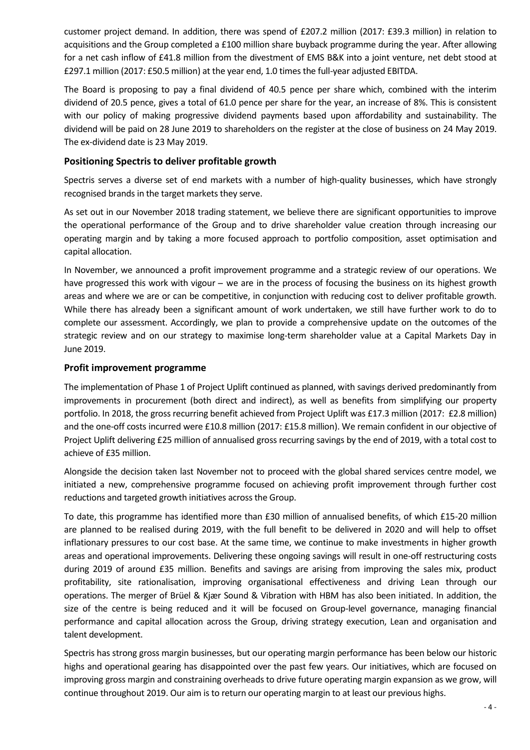customer project demand. In addition, there was spend of £207.2 million (2017: £39.3 million) in relation to acquisitions and the Group completed a £100 million share buyback programme during the year. After allowing for a net cash inflow of £41.8 million from the divestment of EMS B&K into a joint venture, net debt stood at £297.1 million (2017: £50.5 million) at the year end, 1.0 times the full-year adjusted EBITDA.

The Board is proposing to pay a final dividend of 40.5 pence per share which, combined with the interim dividend of 20.5 pence, gives a total of 61.0 pence per share for the year, an increase of 8%. This is consistent with our policy of making progressive dividend payments based upon affordability and sustainability. The dividend will be paid on 28 June 2019 to shareholders on the register at the close of business on 24 May 2019. The ex-dividend date is 23 May 2019.

### **Positioning Spectris to deliver profitable growth**

Spectris serves a diverse set of end markets with a number of high-quality businesses, which have strongly recognised brands in the target markets they serve.

As set out in our November 2018 trading statement, we believe there are significant opportunities to improve the operational performance of the Group and to drive shareholder value creation through increasing our operating margin and by taking a more focused approach to portfolio composition, asset optimisation and capital allocation.

In November, we announced a profit improvement programme and a strategic review of our operations. We have progressed this work with vigour – we are in the process of focusing the business on its highest growth areas and where we are or can be competitive, in conjunction with reducing cost to deliver profitable growth. While there has already been a significant amount of work undertaken, we still have further work to do to complete our assessment. Accordingly, we plan to provide a comprehensive update on the outcomes of the strategic review and on our strategy to maximise long-term shareholder value at a Capital Markets Day in June 2019.

### **Profit improvement programme**

The implementation of Phase 1 of Project Uplift continued as planned, with savings derived predominantly from improvements in procurement (both direct and indirect), as well as benefits from simplifying our property portfolio. In 2018, the gross recurring benefit achieved from Project Uplift was £17.3 million (2017: £2.8 million) and the one-off costs incurred were £10.8 million (2017: £15.8 million). We remain confident in our objective of Project Uplift delivering £25 million of annualised gross recurring savings by the end of 2019, with a total cost to achieve of £35 million.

Alongside the decision taken last November not to proceed with the global shared services centre model, we initiated a new, comprehensive programme focused on achieving profit improvement through further cost reductions and targeted growth initiatives across the Group.

To date, this programme has identified more than £30 million of annualised benefits, of which £15-20 million are planned to be realised during 2019, with the full benefit to be delivered in 2020 and will help to offset inflationary pressures to our cost base. At the same time, we continue to make investments in higher growth areas and operational improvements. Delivering these ongoing savings will result in one-off restructuring costs during 2019 of around £35 million. Benefits and savings are arising from improving the sales mix, product profitability, site rationalisation, improving organisational effectiveness and driving Lean through our operations. The merger of Brüel & Kjær Sound & Vibration with HBM has also been initiated. In addition, the size of the centre is being reduced and it will be focused on Group-level governance, managing financial performance and capital allocation across the Group, driving strategy execution, Lean and organisation and talent development.

Spectris has strong gross margin businesses, but our operating margin performance has been below our historic highs and operational gearing has disappointed over the past few years. Our initiatives, which are focused on improving gross margin and constraining overheads to drive future operating margin expansion as we grow, will continue throughout 2019. Our aim is to return our operating margin to at least our previous highs.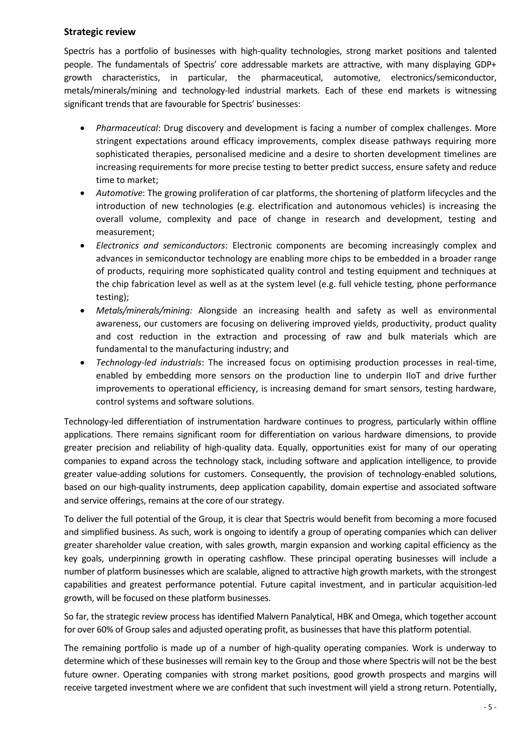### **Strategic review**

Spectris has a portfolio of businesses with high-quality technologies, strong market positions and talented people. The fundamentals of Spectris' core addressable markets are attractive, with many displaying GDP+ growth characteristics, in particular, the pharmaceutical, automotive, electronics/semiconductor, metals/minerals/mining and technology-led industrial markets. Each of these end markets is witnessing significant trends that are favourable for Spectris' businesses:

- *Pharmaceutical*: Drug discovery and development is facing a number of complex challenges. More stringent expectations around efficacy improvements, complex disease pathways requiring more sophisticated therapies, personalised medicine and a desire to shorten development timelines are increasing requirements for more precise testing to better predict success, ensure safety and reduce time to market;
- *Automotive*: The growing proliferation of car platforms, the shortening of platform lifecycles and the introduction of new technologies (e.g. electrification and autonomous vehicles) is increasing the overall volume, complexity and pace of change in research and development, testing and measurement;
- *Electronics and semiconductors*: Electronic components are becoming increasingly complex and advances in semiconductor technology are enabling more chips to be embedded in a broader range of products, requiring more sophisticated quality control and testing equipment and techniques at the chip fabrication level as well as at the system level (e.g. full vehicle testing, phone performance testing);
- *Metals/minerals/mining:* Alongside an increasing health and safety as well as environmental awareness, our customers are focusing on delivering improved yields, productivity, product quality and cost reduction in the extraction and processing of raw and bulk materials which are fundamental to the manufacturing industry; and
- *Technology-led industrials*: The increased focus on optimising production processes in real-time, enabled by embedding more sensors on the production line to underpin IIoT and drive further improvements to operational efficiency, is increasing demand for smart sensors, testing hardware, control systems and software solutions.

Technology-led differentiation of instrumentation hardware continues to progress, particularly within offline applications. There remains significant room for differentiation on various hardware dimensions, to provide greater precision and reliability of high-quality data. Equally, opportunities exist for many of our operating companies to expand across the technology stack, including software and application intelligence, to provide greater value-adding solutions for customers. Consequently, the provision of technology-enabled solutions, based on our high-quality instruments, deep application capability, domain expertise and associated software and service offerings, remains at the core of our strategy.

To deliver the full potential of the Group, it is clear that Spectris would benefit from becoming a more focused and simplified business. As such, work is ongoing to identify a group of operating companies which can deliver greater shareholder value creation, with sales growth, margin expansion and working capital efficiency as the key goals, underpinning growth in operating cashflow. These principal operating businesses will include a number of platform businesses which are scalable, aligned to attractive high growth markets, with the strongest capabilities and greatest performance potential. Future capital investment, and in particular acquisition-led growth, will be focused on these platform businesses.

So far, the strategic review process has identified Malvern Panalytical, HBK and Omega, which together account for over 60% of Group sales and adjusted operating profit, as businesses that have this platform potential.

The remaining portfolio is made up of a number of high-quality operating companies. Work is underway to determine which of these businesses will remain key to the Group and those where Spectris will not be the best future owner. Operating companies with strong market positions, good growth prospects and margins will receive targeted investment where we are confident that such investment will yield a strong return. Potentially,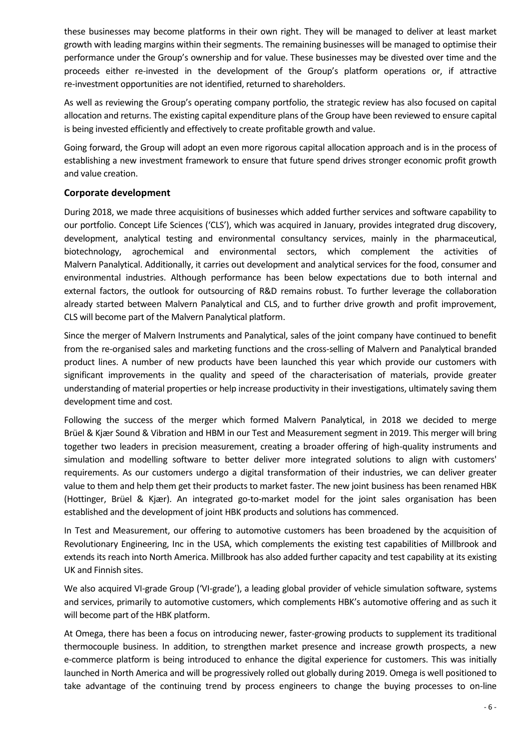these businesses may become platforms in their own right. They will be managed to deliver at least market growth with leading margins within their segments. The remaining businesses will be managed to optimise their performance under the Group's ownership and for value. These businesses may be divested over time and the proceeds either re-invested in the development of the Group's platform operations or, if attractive re-investment opportunities are not identified, returned to shareholders.

As well as reviewing the Group's operating company portfolio, the strategic review has also focused on capital allocation and returns. The existing capital expenditure plans of the Group have been reviewed to ensure capital is being invested efficiently and effectively to create profitable growth and value.

Going forward, the Group will adopt an even more rigorous capital allocation approach and is in the process of establishing a new investment framework to ensure that future spend drives stronger economic profit growth and value creation.

### **Corporate development**

During 2018, we made three acquisitions of businesses which added further services and software capability to our portfolio. Concept Life Sciences ('CLS'), which was acquired in January, provides integrated drug discovery, development, analytical testing and environmental consultancy services, mainly in the pharmaceutical, biotechnology, agrochemical and environmental sectors, which complement the activities of Malvern Panalytical. Additionally, it carries out development and analytical services for the food, consumer and environmental industries. Although performance has been below expectations due to both internal and external factors, the outlook for outsourcing of R&D remains robust. To further leverage the collaboration already started between Malvern Panalytical and CLS, and to further drive growth and profit improvement, CLS will become part of the Malvern Panalytical platform.

Since the merger of Malvern Instruments and Panalytical, sales of the joint company have continued to benefit from the re-organised sales and marketing functions and the cross-selling of Malvern and Panalytical branded product lines. A number of new products have been launched this year which provide our customers with significant improvements in the quality and speed of the characterisation of materials, provide greater understanding of material properties or help increase productivity in their investigations, ultimately saving them development time and cost.

Following the success of the merger which formed Malvern Panalytical, in 2018 we decided to merge Brüel & Kjær Sound & Vibration and HBM in our Test and Measurement segment in 2019. This merger will bring together two leaders in precision measurement, creating a broader offering of high-quality instruments and simulation and modelling software to better deliver more integrated solutions to align with customers' requirements. As our customers undergo a digital transformation of their industries, we can deliver greater value to them and help them get their products to market faster. The new joint business has been renamed HBK (Hottinger, Brüel & Kjær). An integrated go-to-market model for the joint sales organisation has been established and the development of joint HBK products and solutions has commenced.

In Test and Measurement, our offering to automotive customers has been broadened by the acquisition of Revolutionary Engineering, Inc in the USA, which complements the existing test capabilities of Millbrook and extends its reach into North America. Millbrook has also added further capacity and test capability at its existing UK and Finnish sites.

We also acquired VI-grade Group ('VI-grade'), a leading global provider of vehicle simulation software, systems and services, primarily to automotive customers, which complements HBK's automotive offering and as such it will become part of the HBK platform.

At Omega, there has been a focus on introducing newer, faster-growing products to supplement its traditional thermocouple business. In addition, to strengthen market presence and increase growth prospects, a new e-commerce platform is being introduced to enhance the digital experience for customers. This was initially launched in North America and will be progressively rolled out globally during 2019. Omega is well positioned to take advantage of the continuing trend by process engineers to change the buying processes to on-line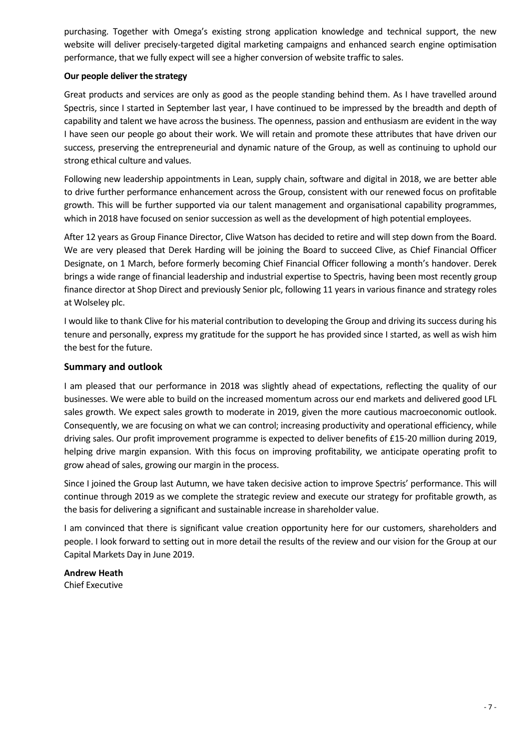purchasing. Together with Omega's existing strong application knowledge and technical support, the new website will deliver precisely-targeted digital marketing campaigns and enhanced search engine optimisation performance, that we fully expect will see a higher conversion of website traffic to sales.

### **Our people deliver the strategy**

Great products and services are only as good as the people standing behind them. As I have travelled around Spectris, since I started in September last year, I have continued to be impressed by the breadth and depth of capability and talent we have across the business. The openness, passion and enthusiasm are evident in the way I have seen our people go about their work. We will retain and promote these attributes that have driven our success, preserving the entrepreneurial and dynamic nature of the Group, as well as continuing to uphold our strong ethical culture and values.

Following new leadership appointments in Lean, supply chain, software and digital in 2018, we are better able to drive further performance enhancement across the Group, consistent with our renewed focus on profitable growth. This will be further supported via our talent management and organisational capability programmes, which in 2018 have focused on senior succession as well as the development of high potential employees.

After 12 years as Group Finance Director, Clive Watson has decided to retire and will step down from the Board. We are very pleased that Derek Harding will be joining the Board to succeed Clive, as Chief Financial Officer Designate, on 1 March, before formerly becoming Chief Financial Officer following a month's handover. Derek brings a wide range of financial leadership and industrial expertise to Spectris, having been most recently group finance director at Shop Direct and previously Senior plc, following 11 years in various finance and strategy roles at Wolseley plc.

I would like to thank Clive for his material contribution to developing the Group and driving its success during his tenure and personally, express my gratitude for the support he has provided since I started, as well as wish him the best for the future.

### **Summary and outlook**

I am pleased that our performance in 2018 was slightly ahead of expectations, reflecting the quality of our businesses. We were able to build on the increased momentum across our end markets and delivered good LFL sales growth. We expect sales growth to moderate in 2019, given the more cautious macroeconomic outlook. Consequently, we are focusing on what we can control; increasing productivity and operational efficiency, while driving sales. Our profit improvement programme is expected to deliver benefits of £15-20 million during 2019, helping drive margin expansion. With this focus on improving profitability, we anticipate operating profit to grow ahead of sales, growing our margin in the process.

Since I joined the Group last Autumn, we have taken decisive action to improve Spectris' performance. This will continue through 2019 as we complete the strategic review and execute our strategy for profitable growth, as the basis for delivering a significant and sustainable increase in shareholder value.

I am convinced that there is significant value creation opportunity here for our customers, shareholders and people. I look forward to setting out in more detail the results of the review and our vision for the Group at our Capital Markets Day in June 2019.

**Andrew Heath** Chief Executive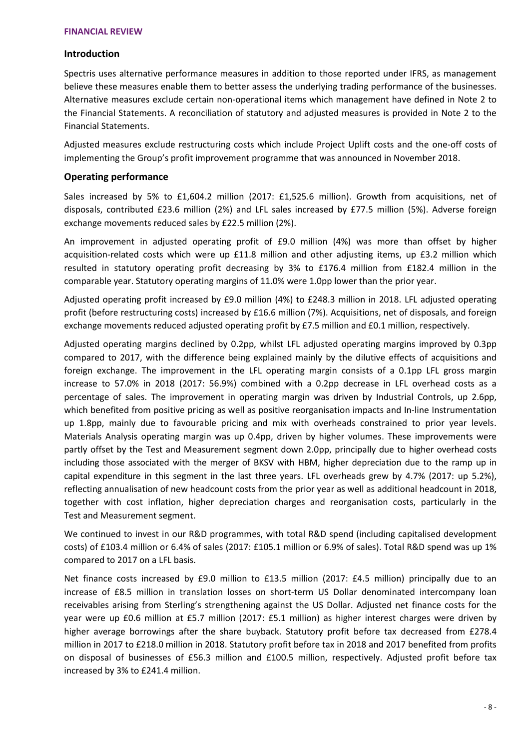### **Introduction**

Spectris uses alternative performance measures in addition to those reported under IFRS, as management believe these measures enable them to better assess the underlying trading performance of the businesses. Alternative measures exclude certain non-operational items which management have defined in Note 2 to the Financial Statements. A reconciliation of statutory and adjusted measures is provided in Note 2 to the Financial Statements.

Adjusted measures exclude restructuring costs which include Project Uplift costs and the one-off costs of implementing the Group's profit improvement programme that was announced in November 2018.

### **Operating performance**

Sales increased by 5% to £1,604.2 million (2017: £1,525.6 million). Growth from acquisitions, net of disposals, contributed £23.6 million (2%) and LFL sales increased by £77.5 million (5%). Adverse foreign exchange movements reduced sales by £22.5 million (2%).

An improvement in adjusted operating profit of £9.0 million (4%) was more than offset by higher acquisition-related costs which were up £11.8 million and other adjusting items, up £3.2 million which resulted in statutory operating profit decreasing by 3% to £176.4 million from £182.4 million in the comparable year. Statutory operating margins of 11.0% were 1.0pp lower than the prior year.

Adjusted operating profit increased by £9.0 million (4%) to £248.3 million in 2018. LFL adjusted operating profit (before restructuring costs) increased by £16.6 million (7%). Acquisitions, net of disposals, and foreign exchange movements reduced adjusted operating profit by £7.5 million and £0.1 million, respectively.

Adjusted operating margins declined by 0.2pp, whilst LFL adjusted operating margins improved by 0.3pp compared to 2017, with the difference being explained mainly by the dilutive effects of acquisitions and foreign exchange. The improvement in the LFL operating margin consists of a 0.1pp LFL gross margin increase to 57.0% in 2018 (2017: 56.9%) combined with a 0.2pp decrease in LFL overhead costs as a percentage of sales. The improvement in operating margin was driven by Industrial Controls, up 2.6pp, which benefited from positive pricing as well as positive reorganisation impacts and In-line Instrumentation up 1.8pp, mainly due to favourable pricing and mix with overheads constrained to prior year levels. Materials Analysis operating margin was up 0.4pp, driven by higher volumes. These improvements were partly offset by the Test and Measurement segment down 2.0pp, principally due to higher overhead costs including those associated with the merger of BKSV with HBM, higher depreciation due to the ramp up in capital expenditure in this segment in the last three years. LFL overheads grew by 4.7% (2017: up 5.2%), reflecting annualisation of new headcount costs from the prior year as well as additional headcount in 2018, together with cost inflation, higher depreciation charges and reorganisation costs, particularly in the Test and Measurement segment.

We continued to invest in our R&D programmes, with total R&D spend (including capitalised development costs) of £103.4 million or 6.4% of sales (2017: £105.1 million or 6.9% of sales). Total R&D spend was up 1% compared to 2017 on a LFL basis.

Net finance costs increased by £9.0 million to £13.5 million (2017: £4.5 million) principally due to an increase of £8.5 million in translation losses on short-term US Dollar denominated intercompany loan receivables arising from Sterling's strengthening against the US Dollar. Adjusted net finance costs for the year were up £0.6 million at £5.7 million (2017: £5.1 million) as higher interest charges were driven by higher average borrowings after the share buyback. Statutory profit before tax decreased from £278.4 million in 2017 to £218.0 million in 2018. Statutory profit before tax in 2018 and 2017 benefited from profits on disposal of businesses of £56.3 million and £100.5 million, respectively. Adjusted profit before tax increased by 3% to £241.4 million.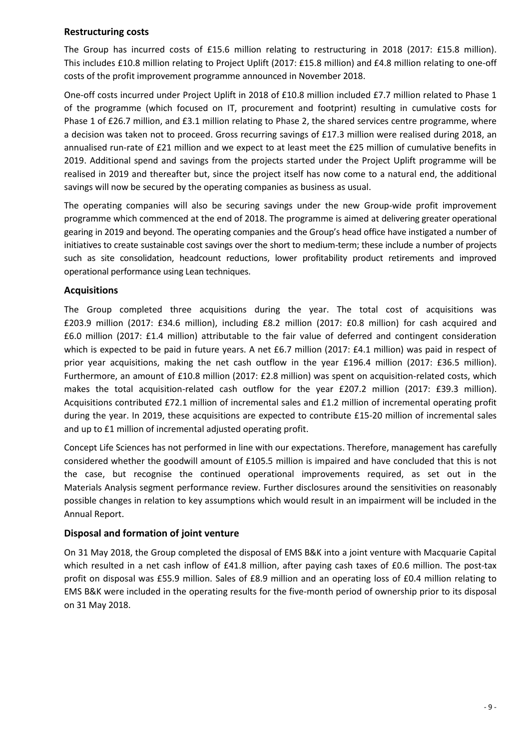### **Restructuring costs**

The Group has incurred costs of £15.6 million relating to restructuring in 2018 (2017: £15.8 million). This includes £10.8 million relating to Project Uplift (2017: £15.8 million) and £4.8 million relating to one-off costs of the profit improvement programme announced in November 2018.

One-off costs incurred under Project Uplift in 2018 of £10.8 million included £7.7 million related to Phase 1 of the programme (which focused on IT, procurement and footprint) resulting in cumulative costs for Phase 1 of £26.7 million, and £3.1 million relating to Phase 2, the shared services centre programme, where a decision was taken not to proceed. Gross recurring savings of £17.3 million were realised during 2018, an annualised run-rate of £21 million and we expect to at least meet the £25 million of cumulative benefits in 2019. Additional spend and savings from the projects started under the Project Uplift programme will be realised in 2019 and thereafter but, since the project itself has now come to a natural end, the additional savings will now be secured by the operating companies as business as usual.

The operating companies will also be securing savings under the new Group-wide profit improvement programme which commenced at the end of 2018. The programme is aimed at delivering greater operational gearing in 2019 and beyond. The operating companies and the Group's head office have instigated a number of initiatives to create sustainable cost savings over the short to medium-term; these include a number of projects such as site consolidation, headcount reductions, lower profitability product retirements and improved operational performance using Lean techniques.

### **Acquisitions**

The Group completed three acquisitions during the year. The total cost of acquisitions was £203.9 million (2017: £34.6 million), including £8.2 million (2017: £0.8 million) for cash acquired and £6.0 million (2017: £1.4 million) attributable to the fair value of deferred and contingent consideration which is expected to be paid in future years. A net £6.7 million (2017: £4.1 million) was paid in respect of prior year acquisitions, making the net cash outflow in the year £196.4 million (2017: £36.5 million). Furthermore, an amount of £10.8 million (2017: £2.8 million) was spent on acquisition-related costs, which makes the total acquisition-related cash outflow for the year £207.2 million (2017: £39.3 million). Acquisitions contributed £72.1 million of incremental sales and £1.2 million of incremental operating profit during the year. In 2019, these acquisitions are expected to contribute £15-20 million of incremental sales and up to £1 million of incremental adjusted operating profit.

Concept Life Sciences has not performed in line with our expectations. Therefore, management has carefully considered whether the goodwill amount of £105.5 million is impaired and have concluded that this is not the case, but recognise the continued operational improvements required, as set out in the Materials Analysis segment performance review. Further disclosures around the sensitivities on reasonably possible changes in relation to key assumptions which would result in an impairment will be included in the Annual Report.

### **Disposal and formation of joint venture**

On 31 May 2018, the Group completed the disposal of EMS B&K into a joint venture with Macquarie Capital which resulted in a net cash inflow of £41.8 million, after paying cash taxes of £0.6 million. The post-tax profit on disposal was £55.9 million. Sales of £8.9 million and an operating loss of £0.4 million relating to EMS B&K were included in the operating results for the five-month period of ownership prior to its disposal on 31 May 2018.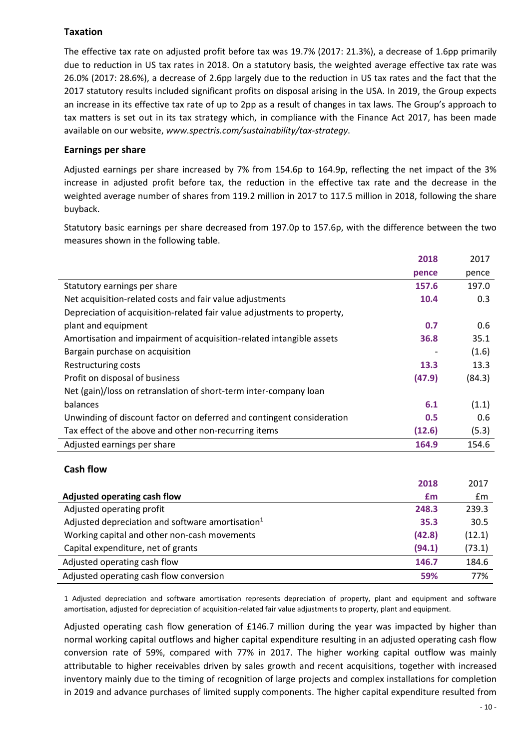### **Taxation**

The effective tax rate on adjusted profit before tax was 19.7% (2017: 21.3%), a decrease of 1.6pp primarily due to reduction in US tax rates in 2018. On a statutory basis, the weighted average effective tax rate was 26.0% (2017: 28.6%), a decrease of 2.6pp largely due to the reduction in US tax rates and the fact that the 2017 statutory results included significant profits on disposal arising in the USA. In 2019, the Group expects an increase in its effective tax rate of up to 2pp as a result of changes in tax laws. The Group's approach to tax matters is set out in its tax strategy which, in compliance with the Finance Act 2017, has been made available on our website, *www.spectris.com/sustainability/tax-strategy*.

### **Earnings per share**

Adjusted earnings per share increased by 7% from 154.6p to 164.9p, reflecting the net impact of the 3% increase in adjusted profit before tax, the reduction in the effective tax rate and the decrease in the weighted average number of shares from 119.2 million in 2017 to 117.5 million in 2018, following the share buyback.

Statutory basic earnings per share decreased from 197.0p to 157.6p, with the difference between the two measures shown in the following table.

|                                                                         | 2018   | 2017   |
|-------------------------------------------------------------------------|--------|--------|
|                                                                         | pence  | pence  |
| Statutory earnings per share                                            | 157.6  | 197.0  |
| Net acquisition-related costs and fair value adjustments                | 10.4   | 0.3    |
| Depreciation of acquisition-related fair value adjustments to property, |        |        |
| plant and equipment                                                     | 0.7    | 0.6    |
| Amortisation and impairment of acquisition-related intangible assets    | 36.8   | 35.1   |
| Bargain purchase on acquisition                                         |        | (1.6)  |
| Restructuring costs                                                     | 13.3   | 13.3   |
| Profit on disposal of business                                          | (47.9) | (84.3) |
| Net (gain)/loss on retranslation of short-term inter-company loan       |        |        |
| balances                                                                | 6.1    | (1.1)  |
| Unwinding of discount factor on deferred and contingent consideration   | 0.5    | 0.6    |
| Tax effect of the above and other non-recurring items                   | (12.6) | (5.3)  |
| Adjusted earnings per share                                             | 164.9  | 154.6  |

### **Cash flow**

| 2018                                                        | 2017   |
|-------------------------------------------------------------|--------|
| Adjusted operating cash flow<br>£m                          | £m     |
| Adjusted operating profit<br>248.3                          | 239.3  |
| Adjusted depreciation and software amortisation $1$<br>35.3 | 30.5   |
| Working capital and other non-cash movements<br>(42.8)      | (12.1) |
| (94.1)<br>Capital expenditure, net of grants                | (73.1) |
| Adjusted operating cash flow<br>146.7                       | 184.6  |
| Adjusted operating cash flow conversion<br>59%              | 77%    |

1 Adjusted depreciation and software amortisation represents depreciation of property, plant and equipment and software amortisation, adjusted for depreciation of acquisition-related fair value adjustments to property, plant and equipment.

Adjusted operating cash flow generation of £146.7 million during the year was impacted by higher than normal working capital outflows and higher capital expenditure resulting in an adjusted operating cash flow conversion rate of 59%, compared with 77% in 2017. The higher working capital outflow was mainly attributable to higher receivables driven by sales growth and recent acquisitions, together with increased inventory mainly due to the timing of recognition of large projects and complex installations for completion in 2019 and advance purchases of limited supply components. The higher capital expenditure resulted from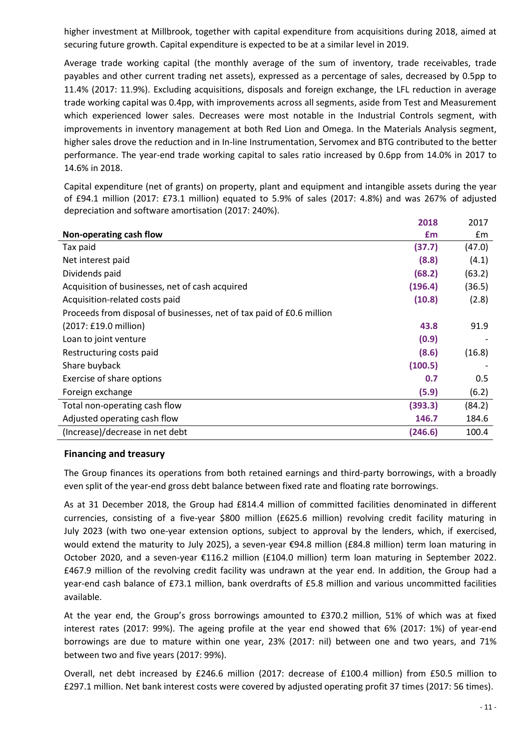higher investment at Millbrook, together with capital expenditure from acquisitions during 2018, aimed at securing future growth. Capital expenditure is expected to be at a similar level in 2019.

Average trade working capital (the monthly average of the sum of inventory, trade receivables, trade payables and other current trading net assets), expressed as a percentage of sales, decreased by 0.5pp to 11.4% (2017: 11.9%). Excluding acquisitions, disposals and foreign exchange, the LFL reduction in average trade working capital was 0.4pp, with improvements across all segments, aside from Test and Measurement which experienced lower sales. Decreases were most notable in the Industrial Controls segment, with improvements in inventory management at both Red Lion and Omega. In the Materials Analysis segment, higher sales drove the reduction and in In-line Instrumentation, Servomex and BTG contributed to the better performance. The year-end trade working capital to sales ratio increased by 0.6pp from 14.0% in 2017 to 14.6% in 2018.

Capital expenditure (net of grants) on property, plant and equipment and intangible assets during the year of £94.1 million (2017: £73.1 million) equated to 5.9% of sales (2017: 4.8%) and was 267% of adjusted depreciation and software amortisation (2017: 240%).

|                                                                       | 2018    | 2017   |
|-----------------------------------------------------------------------|---------|--------|
| Non-operating cash flow                                               | £m      | £m     |
| Tax paid                                                              | (37.7)  | (47.0) |
| Net interest paid                                                     | (8.8)   | (4.1)  |
| Dividends paid                                                        | (68.2)  | (63.2) |
| Acquisition of businesses, net of cash acquired                       | (196.4) | (36.5) |
| Acquisition-related costs paid                                        | (10.8)  | (2.8)  |
| Proceeds from disposal of businesses, net of tax paid of £0.6 million |         |        |
| (2017: £19.0 million)                                                 | 43.8    | 91.9   |
| Loan to joint venture                                                 | (0.9)   |        |
| Restructuring costs paid                                              | (8.6)   | (16.8) |
| Share buyback                                                         | (100.5) |        |
| Exercise of share options                                             | 0.7     | 0.5    |
| Foreign exchange                                                      | (5.9)   | (6.2)  |
| Total non-operating cash flow                                         | (393.3) | (84.2) |
| Adjusted operating cash flow                                          | 146.7   | 184.6  |
| (Increase)/decrease in net debt                                       | (246.6) | 100.4  |

### **Financing and treasury**

The Group finances its operations from both retained earnings and third-party borrowings, with a broadly even split of the year-end gross debt balance between fixed rate and floating rate borrowings.

As at 31 December 2018, the Group had £814.4 million of committed facilities denominated in different currencies, consisting of a five-year \$800 million (£625.6 million) revolving credit facility maturing in July 2023 (with two one-year extension options, subject to approval by the lenders, which, if exercised, would extend the maturity to July 2025), a seven-year €94.8 million (£84.8 million) term loan maturing in October 2020, and a seven-year €116.2 million (£104.0 million) term loan maturing in September 2022. £467.9 million of the revolving credit facility was undrawn at the year end. In addition, the Group had a year-end cash balance of £73.1 million, bank overdrafts of £5.8 million and various uncommitted facilities available.

At the year end, the Group's gross borrowings amounted to £370.2 million, 51% of which was at fixed interest rates (2017: 99%). The ageing profile at the year end showed that 6% (2017: 1%) of year-end borrowings are due to mature within one year, 23% (2017: nil) between one and two years, and 71% between two and five years (2017: 99%).

Overall, net debt increased by £246.6 million (2017: decrease of £100.4 million) from £50.5 million to £297.1 million. Net bank interest costs were covered by adjusted operating profit 37 times (2017: 56 times).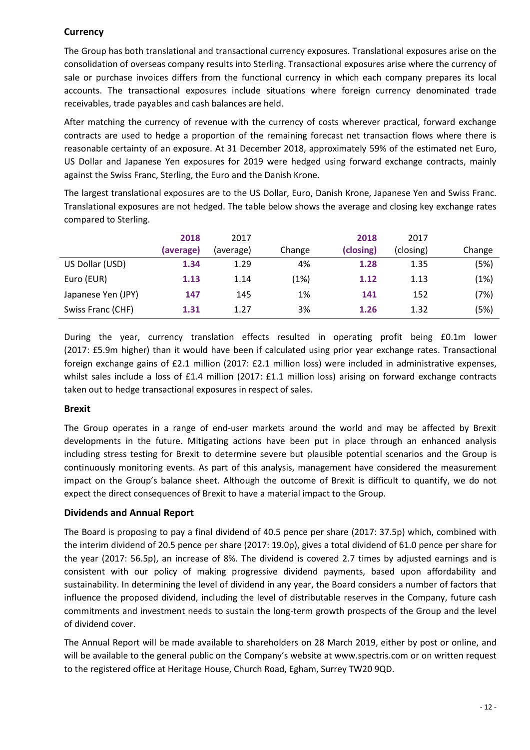### **Currency**

The Group has both translational and transactional currency exposures. Translational exposures arise on the consolidation of overseas company results into Sterling. Transactional exposures arise where the currency of sale or purchase invoices differs from the functional currency in which each company prepares its local accounts. The transactional exposures include situations where foreign currency denominated trade receivables, trade payables and cash balances are held.

After matching the currency of revenue with the currency of costs wherever practical, forward exchange contracts are used to hedge a proportion of the remaining forecast net transaction flows where there is reasonable certainty of an exposure. At 31 December 2018, approximately 59% of the estimated net Euro, US Dollar and Japanese Yen exposures for 2019 were hedged using forward exchange contracts, mainly against the Swiss Franc, Sterling, the Euro and the Danish Krone.

The largest translational exposures are to the US Dollar, Euro, Danish Krone, Japanese Yen and Swiss Franc. Translational exposures are not hedged. The table below shows the average and closing key exchange rates compared to Sterling.

|                    | 2018<br>(average) | 2017<br>(average) | Change | 2018<br>(closing) | 2017<br>(closing) | Change |
|--------------------|-------------------|-------------------|--------|-------------------|-------------------|--------|
| US Dollar (USD)    | 1.34              | 1.29              | 4%     | 1.28              | 1.35              | (5%)   |
| Euro (EUR)         | 1.13              | 1.14              | (1%)   | 1.12              | 1.13              | (1%)   |
| Japanese Yen (JPY) | 147               | 145               | 1%     | 141               | 152               | (7%)   |
| Swiss Franc (CHF)  | 1.31              | 1.27              | 3%     | 1.26              | 1.32              | (5%)   |

During the year, currency translation effects resulted in operating profit being £0.1m lower (2017: £5.9m higher) than it would have been if calculated using prior year exchange rates. Transactional foreign exchange gains of £2.1 million (2017: £2.1 million loss) were included in administrative expenses, whilst sales include a loss of £1.4 million (2017: £1.1 million loss) arising on forward exchange contracts taken out to hedge transactional exposures in respect of sales.

### **Brexit**

The Group operates in a range of end-user markets around the world and may be affected by Brexit developments in the future. Mitigating actions have been put in place through an enhanced analysis including stress testing for Brexit to determine severe but plausible potential scenarios and the Group is continuously monitoring events. As part of this analysis, management have considered the measurement impact on the Group's balance sheet. Although the outcome of Brexit is difficult to quantify, we do not expect the direct consequences of Brexit to have a material impact to the Group.

### **Dividends and Annual Report**

The Board is proposing to pay a final dividend of 40.5 pence per share (2017: 37.5p) which, combined with the interim dividend of 20.5 pence per share (2017: 19.0p), gives a total dividend of 61.0 pence per share for the year (2017: 56.5p), an increase of 8%. The dividend is covered 2.7 times by adjusted earnings and is consistent with our policy of making progressive dividend payments, based upon affordability and sustainability. In determining the level of dividend in any year, the Board considers a number of factors that influence the proposed dividend, including the level of distributable reserves in the Company, future cash commitments and investment needs to sustain the long-term growth prospects of the Group and the level of dividend cover.

The Annual Report will be made available to shareholders on 28 March 2019, either by post or online, and will be available to the general public on the Company's website at www.spectris.com or on written request to the registered office at Heritage House, Church Road, Egham, Surrey TW20 9QD.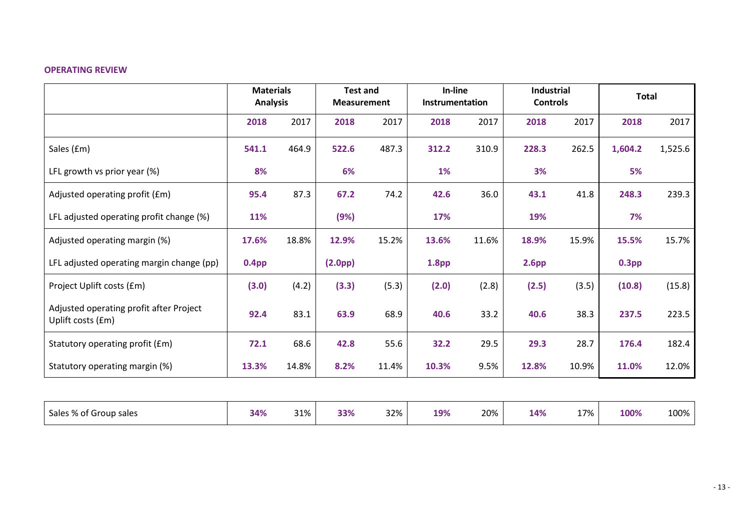### **OPERATING REVIEW**

|                                                              | <b>Materials</b><br><b>Analysis</b> |       | <b>Test and</b><br><b>Measurement</b> |       |                   |       | In-line<br>Instrumentation |       | Industrial<br><b>Controls</b> |         |  |  |  |  | <b>Total</b> |  |
|--------------------------------------------------------------|-------------------------------------|-------|---------------------------------------|-------|-------------------|-------|----------------------------|-------|-------------------------------|---------|--|--|--|--|--------------|--|
|                                                              | 2018                                | 2017  | 2018                                  | 2017  | 2018              | 2017  | 2018                       | 2017  | 2018                          | 2017    |  |  |  |  |              |  |
| Sales (£m)                                                   | 541.1                               | 464.9 | 522.6                                 | 487.3 | 312.2             | 310.9 | 228.3                      | 262.5 | 1,604.2                       | 1,525.6 |  |  |  |  |              |  |
| LFL growth vs prior year (%)                                 | 8%                                  |       | 6%                                    |       | 1%                |       | 3%                         |       | 5%                            |         |  |  |  |  |              |  |
| Adjusted operating profit (£m)                               | 95.4                                | 87.3  | 67.2                                  | 74.2  | 42.6              | 36.0  | 43.1                       | 41.8  | 248.3                         | 239.3   |  |  |  |  |              |  |
| LFL adjusted operating profit change (%)                     | 11%                                 |       | (9%)                                  |       | 17%               |       | 19%                        |       | 7%                            |         |  |  |  |  |              |  |
| Adjusted operating margin (%)                                | 17.6%                               | 18.8% | 12.9%                                 | 15.2% | 13.6%             | 11.6% | 18.9%                      | 15.9% | 15.5%                         | 15.7%   |  |  |  |  |              |  |
| LFL adjusted operating margin change (pp)                    | 0.4 <sub>pp</sub>                   |       | (2.0 <sub>pp</sub> )                  |       | 1.8 <sub>pp</sub> |       | 2.6 <sub>pp</sub>          |       | 0.3 <sub>pp</sub>             |         |  |  |  |  |              |  |
| Project Uplift costs (£m)                                    | (3.0)                               | (4.2) | (3.3)                                 | (5.3) | (2.0)             | (2.8) | (2.5)                      | (3.5) | (10.8)                        | (15.8)  |  |  |  |  |              |  |
| Adjusted operating profit after Project<br>Uplift costs (£m) | 92.4                                | 83.1  | 63.9                                  | 68.9  | 40.6              | 33.2  | 40.6                       | 38.3  | 237.5                         | 223.5   |  |  |  |  |              |  |
| Statutory operating profit (£m)                              | 72.1                                | 68.6  | 42.8                                  | 55.6  | 32.2              | 29.5  | 29.3                       | 28.7  | 176.4                         | 182.4   |  |  |  |  |              |  |
| Statutory operating margin (%)                               | 13.3%                               | 14.8% | 8.2%                                  | 11.4% | 10.3%             | 9.5%  | 12.8%                      | 10.9% | 11.0%                         | 12.0%   |  |  |  |  |              |  |

| Sales % of Group sales | 34% | 21%<br><u>JI/U</u> | 33% | $22\%$ .<br><b>JL/V</b> | 19% | 20% | 14% | 17% | 100% | 100% |
|------------------------|-----|--------------------|-----|-------------------------|-----|-----|-----|-----|------|------|
|------------------------|-----|--------------------|-----|-------------------------|-----|-----|-----|-----|------|------|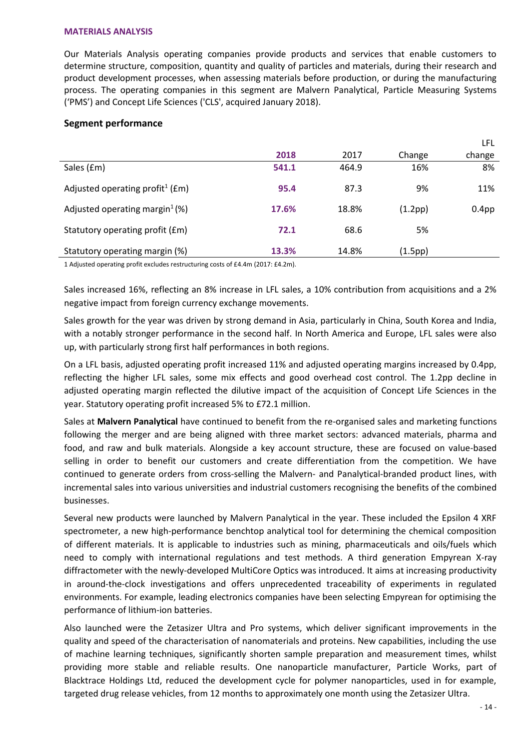### **MATERIALS ANALYSIS**

Our Materials Analysis operating companies provide products and services that enable customers to determine structure, composition, quantity and quality of particles and materials, during their research and product development processes, when assessing materials before production, or during the manufacturing process. The operating companies in this segment are Malvern Panalytical, Particle Measuring Systems ('PMS') and Concept Life Sciences ('CLS', acquired January 2018).

### **Segment performance**

|                                                 |       |       |         | LFL               |
|-------------------------------------------------|-------|-------|---------|-------------------|
|                                                 | 2018  | 2017  | Change  | change            |
| Sales (£m)                                      | 541.1 | 464.9 | 16%     | 8%                |
| Adjusted operating profit <sup>1</sup> ( $Em$ ) | 95.4  | 87.3  | 9%      | 11%               |
| Adjusted operating margin <sup>1</sup> $(\%)$   | 17.6% | 18.8% | (1.2pp) | 0.4 <sub>pp</sub> |
| Statutory operating profit (£m)                 | 72.1  | 68.6  | 5%      |                   |
| Statutory operating margin (%)                  | 13.3% | 14.8% | (1.5pp) |                   |

1 Adjusted operating profit excludes restructuring costs of £4.4m (2017: £4.2m).

Sales increased 16%, reflecting an 8% increase in LFL sales, a 10% contribution from acquisitions and a 2% negative impact from foreign currency exchange movements.

Sales growth for the year was driven by strong demand in Asia, particularly in China, South Korea and India, with a notably stronger performance in the second half. In North America and Europe, LFL sales were also up, with particularly strong first half performances in both regions.

On a LFL basis, adjusted operating profit increased 11% and adjusted operating margins increased by 0.4pp, reflecting the higher LFL sales, some mix effects and good overhead cost control. The 1.2pp decline in adjusted operating margin reflected the dilutive impact of the acquisition of Concept Life Sciences in the year. Statutory operating profit increased 5% to £72.1 million.

Sales at **Malvern Panalytical** have continued to benefit from the re-organised sales and marketing functions following the merger and are being aligned with three market sectors: advanced materials, pharma and food, and raw and bulk materials. Alongside a key account structure, these are focused on value-based selling in order to benefit our customers and create differentiation from the competition. We have continued to generate orders from cross-selling the Malvern- and Panalytical-branded product lines, with incremental sales into various universities and industrial customers recognising the benefits of the combined businesses.

Several new products were launched by Malvern Panalytical in the year. These included the Epsilon 4 XRF spectrometer, a new high-performance benchtop analytical tool for determining the chemical composition of different materials. It is applicable to industries such as mining, pharmaceuticals and oils/fuels which need to comply with international regulations and test methods. A third generation Empyrean X-ray diffractometer with the newly-developed MultiCore Optics was introduced. It aims at increasing productivity in around-the-clock investigations and offers unprecedented traceability of experiments in regulated environments. For example, leading electronics companies have been selecting Empyrean for optimising the performance of lithium-ion batteries.

Also launched were the Zetasizer Ultra and Pro systems, which deliver significant improvements in the quality and speed of the characterisation of nanomaterials and proteins. New capabilities, including the use of machine learning techniques, significantly shorten sample preparation and measurement times, whilst providing more stable and reliable results. One nanoparticle manufacturer, Particle Works, part of Blacktrace Holdings Ltd, reduced the development cycle for polymer nanoparticles, used in for example, targeted drug release vehicles, from 12 months to approximately one month using the Zetasizer Ultra.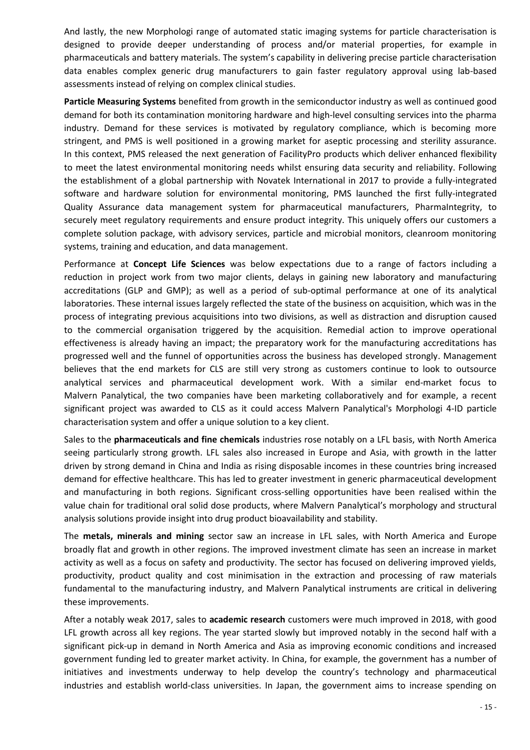And lastly, the new Morphologi range of automated static imaging systems for particle characterisation is designed to provide deeper understanding of process and/or material properties, for example in pharmaceuticals and battery materials. The system's capability in delivering precise particle characterisation data enables complex generic drug manufacturers to gain faster regulatory approval using lab-based assessments instead of relying on complex clinical studies.

**Particle Measuring Systems** benefited from growth in the semiconductor industry as well as continued good demand for both its contamination monitoring hardware and high-level consulting services into the pharma industry. Demand for these services is motivated by regulatory compliance, which is becoming more stringent, and PMS is well positioned in a growing market for aseptic processing and sterility assurance. In this context, PMS released the next generation of FacilityPro products which deliver enhanced flexibility to meet the latest environmental monitoring needs whilst ensuring data security and reliability. Following the establishment of a global partnership with Novatek International in 2017 to provide a fully-integrated software and hardware solution for environmental monitoring, PMS launched the first fully-integrated Quality Assurance data management system for pharmaceutical manufacturers, [PharmaIntegrity,](https://www.pmeasuring.com/en/products/pharmaintegrity) to securely meet regulatory requirements and ensure product integrity. This uniquely offers our customers a complete solution package, with advisory services, particle and microbial monitors, cleanroom monitoring systems, training and education, and data management.

Performance at **Concept Life Sciences** was below expectations due to a range of factors including a reduction in project work from two major clients, delays in gaining new laboratory and manufacturing accreditations (GLP and GMP); as well as a period of sub-optimal performance at one of its analytical laboratories. These internal issues largely reflected the state of the business on acquisition, which was in the process of integrating previous acquisitions into two divisions, as well as distraction and disruption caused to the commercial organisation triggered by the acquisition. Remedial action to improve operational effectiveness is already having an impact; the preparatory work for the manufacturing accreditations has progressed well and the funnel of opportunities across the business has developed strongly. Management believes that the end markets for CLS are still very strong as customers continue to look to outsource analytical services and pharmaceutical development work. With a similar end-market focus to Malvern Panalytical, the two companies have been marketing collaboratively and for example, a recent significant project was awarded to CLS as it could access Malvern Panalytical's Morphologi 4-ID particle characterisation system and offer a unique solution to a key client.

Sales to the **pharmaceuticals and fine chemicals** industries rose notably on a LFL basis, with North America seeing particularly strong growth. LFL sales also increased in Europe and Asia, with growth in the latter driven by strong demand in China and India as rising disposable incomes in these countries bring increased demand for effective healthcare. This has led to greater investment in generic pharmaceutical development and manufacturing in both regions. Significant cross-selling opportunities have been realised within the value chain for traditional oral solid dose products, where Malvern Panalytical's morphology and structural analysis solutions provide insight into drug product bioavailability and stability.

The **metals, minerals and mining** sector saw an increase in LFL sales, with North America and Europe broadly flat and growth in other regions. The improved investment climate has seen an increase in market activity as well as a focus on safety and productivity. The sector has focused on delivering improved yields, productivity, product quality and cost minimisation in the extraction and processing of raw materials fundamental to the manufacturing industry, and Malvern Panalytical instruments are critical in delivering these improvements.

After a notably weak 2017, sales to **academic research** customers were much improved in 2018, with good LFL growth across all key regions. The year started slowly but improved notably in the second half with a significant pick-up in demand in North America and Asia as improving economic conditions and increased government funding led to greater market activity. In China, for example, the government has a number of initiatives and investments underway to help develop the country's technology and pharmaceutical industries and establish world-class universities. In Japan, the government aims to increase spending on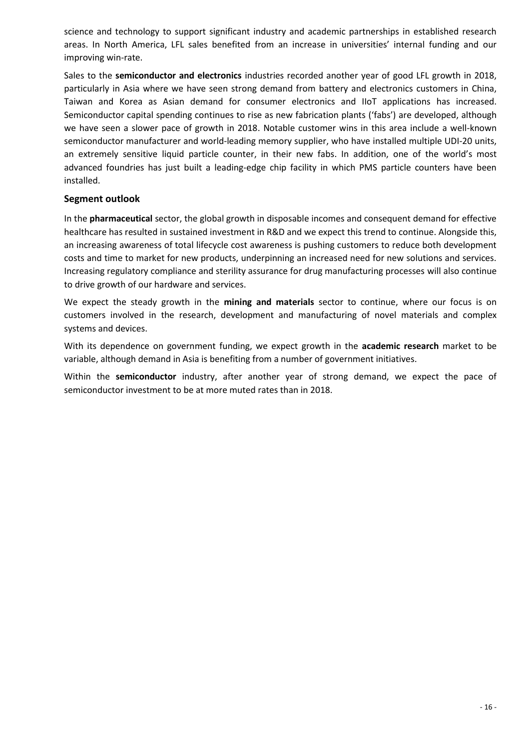science and technology to support significant industry and academic partnerships in established research areas. In North America, LFL sales benefited from an increase in universities' internal funding and our improving win-rate.

Sales to the **semiconductor and electronics** industries recorded another year of good LFL growth in 2018, particularly in Asia where we have seen strong demand from battery and electronics customers in China, Taiwan and Korea as Asian demand for consumer electronics and IIoT applications has increased. Semiconductor capital spending continues to rise as new fabrication plants ('fabs') are developed, although we have seen a slower pace of growth in 2018. Notable customer wins in this area include a well-known semiconductor manufacturer and world-leading memory supplier, who have installed multiple UDI-20 units, an extremely sensitive liquid particle counter, in their new fabs. In addition, one of the world's most advanced foundries has just built a leading-edge chip facility in which PMS particle counters have been installed.

### **Segment outlook**

In the **pharmaceutical** sector, the global growth in disposable incomes and consequent demand for effective healthcare has resulted in sustained investment in R&D and we expect this trend to continue. Alongside this, an increasing awareness of total lifecycle cost awareness is pushing customers to reduce both development costs and time to market for new products, underpinning an increased need for new solutions and services. Increasing regulatory compliance and sterility assurance for drug manufacturing processes will also continue to drive growth of our hardware and services.

We expect the steady growth in the **mining and materials** sector to continue, where our focus is on customers involved in the research, development and manufacturing of novel materials and complex systems and devices.

With its dependence on government funding, we expect growth in the **academic research** market to be variable, although demand in Asia is benefiting from a number of government initiatives.

Within the **semiconductor** industry, after another year of strong demand, we expect the pace of semiconductor investment to be at more muted rates than in 2018.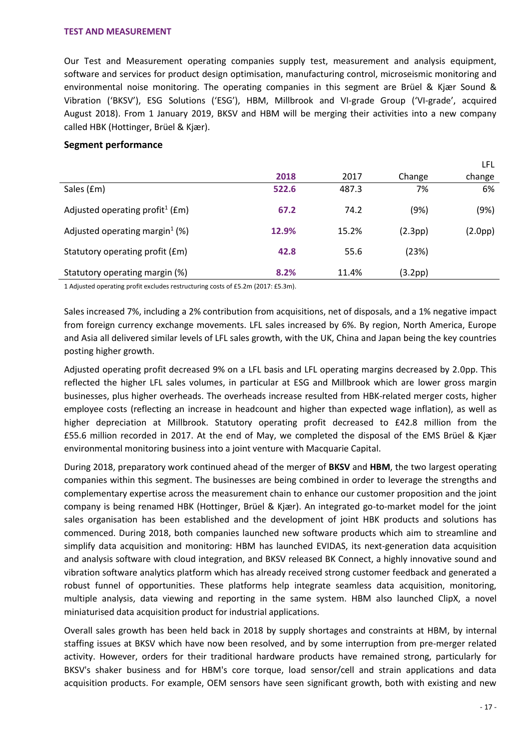### **TEST AND MEASUREMENT**

Our Test and Measurement operating companies supply test, measurement and analysis equipment, software and services for product design optimisation, manufacturing control, microseismic monitoring and environmental noise monitoring. The operating companies in this segment are Brüel & Kjær Sound & Vibration ('BKSV'), ESG Solutions ('ESG'), HBM, Millbrook and VI-grade Group ('VI-grade', acquired August 2018). From 1 January 2019, BKSV and HBM will be merging their activities into a new company called HBK (Hottinger, Brüel & Kjær).

### **Segment performance**

|                                                 |       |       |         | LFL     |
|-------------------------------------------------|-------|-------|---------|---------|
|                                                 | 2018  | 2017  | Change  | change  |
| Sales (£m)                                      | 522.6 | 487.3 | 7%      | 6%      |
| Adjusted operating profit <sup>1</sup> ( $Em$ ) | 67.2  | 74.2  | (9%)    | (9%)    |
| Adjusted operating margin <sup>1</sup> (%)      | 12.9% | 15.2% | (2.3pp) | (2.0pp) |
| Statutory operating profit (£m)                 | 42.8  | 55.6  | (23%)   |         |
| Statutory operating margin (%)                  | 8.2%  | 11.4% | (3.2pp) |         |

1 Adjusted operating profit excludes restructuring costs of £5.2m (2017: £5.3m).

Sales increased 7%, including a 2% contribution from acquisitions, net of disposals, and a 1% negative impact from foreign currency exchange movements. LFL sales increased by 6%. By region, North America, Europe and Asia all delivered similar levels of LFL sales growth, with the UK, China and Japan being the key countries posting higher growth.

Adjusted operating profit decreased 9% on a LFL basis and LFL operating margins decreased by 2.0pp. This reflected the higher LFL sales volumes, in particular at ESG and Millbrook which are lower gross margin businesses, plus higher overheads. The overheads increase resulted from HBK-related merger costs, higher employee costs (reflecting an increase in headcount and higher than expected wage inflation), as well as higher depreciation at Millbrook. Statutory operating profit decreased to £42.8 million from the £55.6 million recorded in 2017. At the end of May, we completed the disposal of the EMS Brüel & Kjær environmental monitoring business into a joint venture with Macquarie Capital.

During 2018, preparatory work continued ahead of the merger of **BKSV** and **HBM**, the two largest operating companies within this segment. The businesses are being combined in order to leverage the strengths and complementary expertise across the measurement chain to enhance our customer proposition and the joint company is being renamed HBK (Hottinger, Brüel & Kjær). An integrated go-to-market model for the joint sales organisation has been established and the development of joint HBK products and solutions has commenced. During 2018, both companies launched new software products which aim to streamline and simplify data acquisition and monitoring: HBM has launched EVIDAS, its next-generation data acquisition and analysis software with cloud integration, and BKSV released BK Connect, a highly innovative sound and vibration software analytics platform which has already received strong customer feedback and generated a robust funnel of opportunities. These platforms help integrate seamless data acquisition, monitoring, multiple analysis, data viewing and reporting in the same system. HBM also launched ClipX, a novel miniaturised data acquisition product for industrial applications.

Overall sales growth has been held back in 2018 by supply shortages and constraints at HBM, by internal staffing issues at BKSV which have now been resolved, and by some interruption from pre-merger related activity. However, orders for their traditional hardware products have remained strong, particularly for BKSV's shaker business and for HBM's core torque, load sensor/cell and strain applications and data acquisition products. For example, OEM sensors have seen significant growth, both with existing and new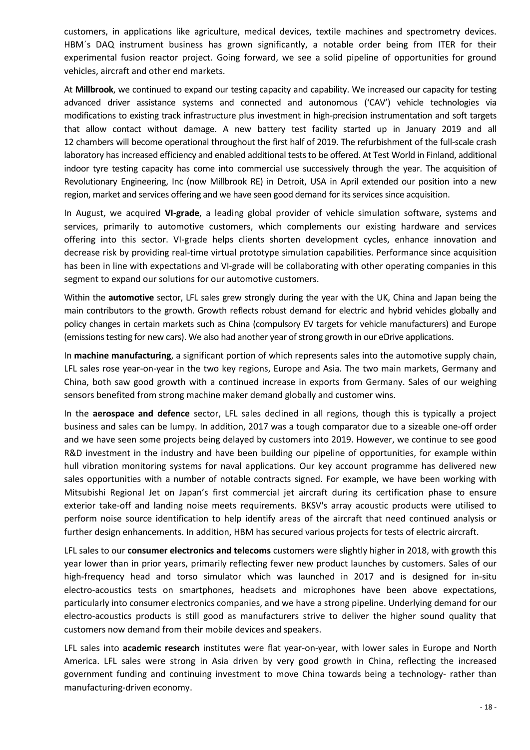customers, in applications like agriculture, medical devices, textile machines and spectrometry devices. HBM´s DAQ instrument business has grown significantly, a notable order being from ITER for their experimental fusion reactor project. Going forward, we see a solid pipeline of opportunities for ground vehicles, aircraft and other end markets.

At **Millbrook**, we continued to expand our testing capacity and capability. We increased our capacity for testing advanced driver assistance systems and connected and autonomous ('CAV') vehicle technologies via modifications to existing track infrastructure plus investment in high-precision instrumentation and soft targets that allow contact without damage. A new battery test facility started up in January 2019 and all 12 chambers will become operational throughout the first half of 2019. The refurbishment of the full-scale crash laboratory has increased efficiency and enabled additional tests to be offered. At Test World in Finland, additional indoor tyre testing capacity has come into commercial use successively through the year. The acquisition of Revolutionary Engineering, Inc (now Millbrook RE) in Detroit, USA in April extended our position into a new region, market and services offering and we have seen good demand for its services since acquisition.

In August, we acquired **VI-grade**, a leading global provider of vehicle simulation software, systems and services, primarily to automotive customers, which complements our existing hardware and services offering into this sector. VI-grade helps clients shorten development cycles, enhance innovation and decrease risk by providing real-time virtual prototype simulation capabilities. Performance since acquisition has been in line with expectations and VI-grade will be collaborating with other operating companies in this segment to expand our solutions for our automotive customers.

Within the **automotive** sector, LFL sales grew strongly during the year with the UK, China and Japan being the main contributors to the growth. Growth reflects robust demand for electric and hybrid vehicles globally and policy changes in certain markets such as China (compulsory EV targets for vehicle manufacturers) and Europe (emissions testing for new cars). We also had another year of strong growth in our eDrive applications.

In **machine manufacturing**, a significant portion of which represents sales into the automotive supply chain, LFL sales rose year-on-year in the two key regions, Europe and Asia. The two main markets, Germany and China, both saw good growth with a continued increase in exports from Germany. Sales of our weighing sensors benefited from strong machine maker demand globally and customer wins.

In the **aerospace and defence** sector, LFL sales declined in all regions, though this is typically a project business and sales can be lumpy. In addition, 2017 was a tough comparator due to a sizeable one-off order and we have seen some projects being delayed by customers into 2019. However, we continue to see good R&D investment in the industry and have been building our pipeline of opportunities, for example within hull vibration monitoring systems for naval applications. Our key account programme has delivered new sales opportunities with a number of notable contracts signed. For example, we have been working with Mitsubishi Regional Jet on Japan's first commercial jet aircraft during its certification phase to ensure exterior take-off and landing noise meets requirements. BKSV's array acoustic products were utilised to perform noise source identification to help identify areas of the aircraft that need continued analysis or further design enhancements. In addition, HBM has secured various projects for tests of electric aircraft.

LFL sales to our **consumer electronics and telecoms** customers were slightly higher in 2018, with growth this year lower than in prior years, primarily reflecting fewer new product launches by customers. Sales of our high-frequency head and torso simulator which was launched in 2017 and is designed for in-situ electro-acoustics tests on smartphones, headsets and microphones have been above expectations, particularly into consumer electronics companies, and we have a strong pipeline. Underlying demand for our electro-acoustics products is still good as manufacturers strive to deliver the higher sound quality that customers now demand from their mobile devices and speakers.

LFL sales into **academic research** institutes were flat year-on-year, with lower sales in Europe and North America. LFL sales were strong in Asia driven by very good growth in China, reflecting the increased government funding and continuing investment to move China towards being a technology- rather than manufacturing-driven economy.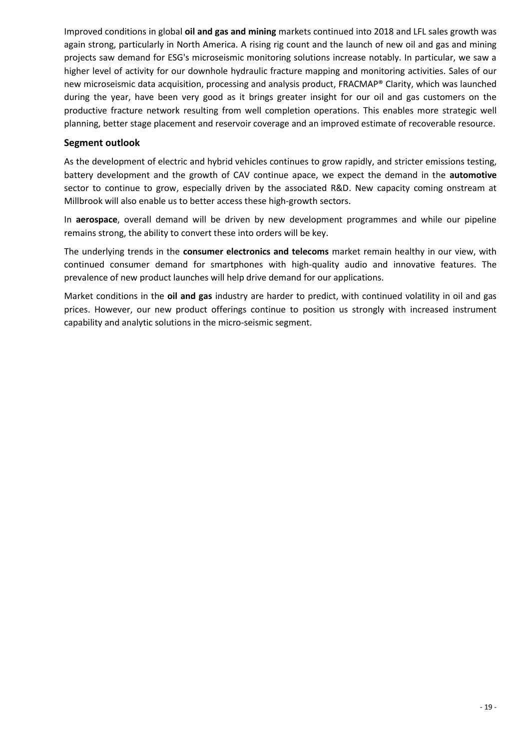Improved conditions in global **oil and gas and mining** markets continued into 2018 and LFL sales growth was again strong, particularly in North America. A rising rig count and the launch of new oil and gas and mining projects saw demand for ESG's microseismic monitoring solutions increase notably. In particular, we saw a higher level of activity for our downhole hydraulic fracture mapping and monitoring activities. Sales of our new microseismic data acquisition, processing and analysis product, FRACMAP® Clarity, which was launched during the year, have been very good as it brings greater insight for our oil and gas customers on the productive fracture network resulting from well completion operations. This enables more strategic well planning, better stage placement and reservoir coverage and an improved estimate of recoverable resource.

### **Segment outlook**

As the development of electric and hybrid vehicles continues to grow rapidly, and stricter emissions testing, battery development and the growth of CAV continue apace, we expect the demand in the **automotive** sector to continue to grow, especially driven by the associated R&D. New capacity coming onstream at Millbrook will also enable us to better access these high-growth sectors.

In **aerospace**, overall demand will be driven by new development programmes and while our pipeline remains strong, the ability to convert these into orders will be key.

The underlying trends in the **consumer electronics and telecoms** market remain healthy in our view, with continued consumer demand for smartphones with high-quality audio and innovative features. The prevalence of new product launches will help drive demand for our applications.

Market conditions in the **oil and gas** industry are harder to predict, with continued volatility in oil and gas prices. However, our new product offerings continue to position us strongly with increased instrument capability and analytic solutions in the micro-seismic segment.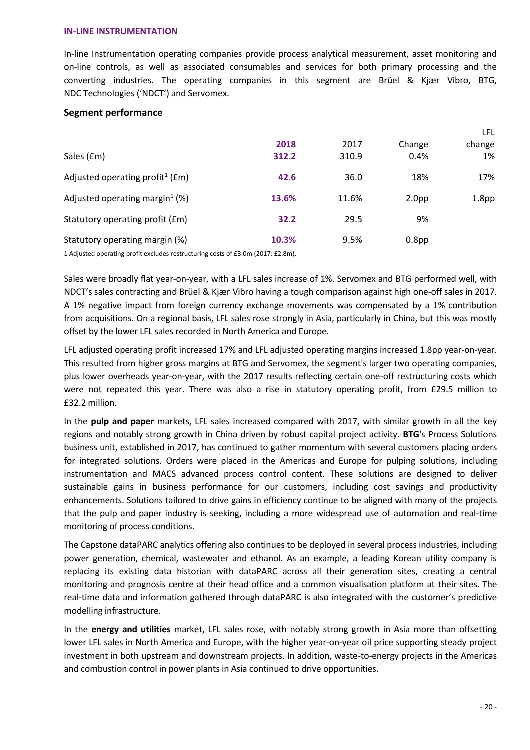### **IN-LINE INSTRUMENTATION**

In-line Instrumentation operating companies provide process analytical measurement, asset monitoring and on-line controls, as well as associated consumables and services for both primary processing and the converting industries. The operating companies in this segment are Brüel & Kjær Vibro, BTG, NDC Technologies ('NDCT') and Servomex.

### **Segment performance**

|                                                 |       |       |                   | LFL               |
|-------------------------------------------------|-------|-------|-------------------|-------------------|
|                                                 | 2018  | 2017  | Change            | change            |
| Sales (£m)                                      | 312.2 | 310.9 | 0.4%              | 1%                |
| Adjusted operating profit <sup>1</sup> ( $Em$ ) | 42.6  | 36.0  | 18%               | 17%               |
| Adjusted operating margin <sup>1</sup> (%)      | 13.6% | 11.6% | 2.0 <sub>pp</sub> | 1.8 <sub>pp</sub> |
| Statutory operating profit (£m)                 | 32.2  | 29.5  | 9%                |                   |
| Statutory operating margin (%)                  | 10.3% | 9.5%  | 0.8 <sub>pp</sub> |                   |

1 Adjusted operating profit excludes restructuring costs of £3.0m (2017: £2.8m).

Sales were broadly flat year-on-year, with a LFL sales increase of 1%. Servomex and BTG performed well, with NDCT's sales contracting and Brüel & Kjær Vibro having a tough comparison against high one-off sales in 2017. A 1% negative impact from foreign currency exchange movements was compensated by a 1% contribution from acquisitions. On a regional basis, LFL sales rose strongly in Asia, particularly in China, but this was mostly offset by the lower LFL sales recorded in North America and Europe.

LFL adjusted operating profit increased 17% and LFL adjusted operating margins increased 1.8pp year-on-year. This resulted from higher gross margins at BTG and Servomex, the segment's larger two operating companies, plus lower overheads year-on-year, with the 2017 results reflecting certain one-off restructuring costs which were not repeated this year. There was also a rise in statutory operating profit, from £29.5 million to £32.2 million.

In the **pulp and paper** markets, LFL sales increased compared with 2017, with similar growth in all the key regions and notably strong growth in China driven by robust capital project activity. **BTG**'s Process Solutions business unit, established in 2017, has continued to gather momentum with several customers placing orders for integrated solutions. Orders were placed in the Americas and Europe for pulping solutions, including instrumentation and MACS advanced process control content. These solutions are designed to deliver sustainable gains in business performance for our customers, including cost savings and productivity enhancements. Solutions tailored to drive gains in efficiency continue to be aligned with many of the projects that the pulp and paper industry is seeking, including a more widespread use of automation and real-time monitoring of process conditions.

The Capstone dataPARC analytics offering also continues to be deployed in several process industries, including power generation, chemical, wastewater and ethanol. As an example, a leading Korean utility company is replacing its existing data historian with dataPARC across all their generation sites, creating a central monitoring and prognosis centre at their head office and a common visualisation platform at their sites. The real-time data and information gathered through dataPARC is also integrated with the customer's predictive modelling infrastructure.

In the **energy and utilities** market, LFL sales rose, with notably strong growth in Asia more than offsetting lower LFL sales in North America and Europe, with the higher year-on-year oil price supporting steady project investment in both upstream and downstream projects. In addition, waste-to-energy projects in the Americas and combustion control in power plants in Asia continued to drive opportunities.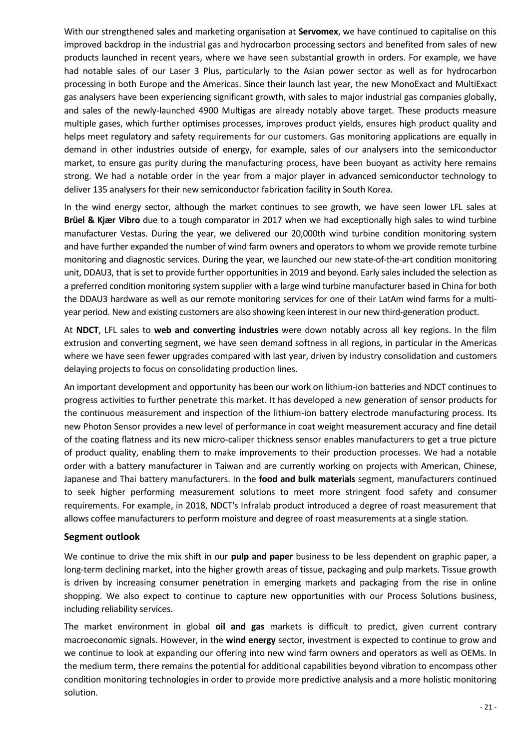With our strengthened sales and marketing organisation at **Servomex**, we have continued to capitalise on this improved backdrop in the industrial gas and hydrocarbon processing sectors and benefited from sales of new products launched in recent years, where we have seen substantial growth in orders. For example, we have had notable sales of our Laser 3 Plus, particularly to the Asian power sector as well as for hydrocarbon processing in both Europe and the Americas. Since their launch last year, the new MonoExact and MultiExact gas analysers have been experiencing significant growth, with sales to major industrial gas companies globally, and sales of the newly-launched 4900 Multigas are already notably above target. These products measure multiple gases, which further optimises processes, improves product yields, ensures high product quality and helps meet regulatory and safety requirements for our customers. Gas monitoring applications are equally in demand in other industries outside of energy, for example, sales of our analysers into the semiconductor market, to ensure gas purity during the manufacturing process, have been buoyant as activity here remains strong. We had a notable order in the year from a major player in advanced semiconductor technology to deliver 135 analysers for their new semiconductor fabrication facility in South Korea.

In the wind energy sector, although the market continues to see growth, we have seen lower LFL sales at **Brüel & Kjær Vibro** due to a tough comparator in 2017 when we had exceptionally high sales to wind turbine manufacturer Vestas. During the year, we delivered our 20,000th wind turbine condition monitoring system and have further expanded the number of wind farm owners and operators to whom we provide remote turbine monitoring and diagnostic services. During the year, we launched our new state-of-the-art condition monitoring unit, DDAU3, that is set to provide further opportunities in 2019 and beyond. Early sales included the selection as a preferred condition monitoring system supplier with a large wind turbine manufacturer based in China for both the DDAU3 hardware as well as our remote monitoring services for one of their LatAm wind farms for a multiyear period. New and existing customers are also showing keen interest in our new third-generation product.

At **NDCT**, LFL sales to **web and converting industries** were down notably across all key regions. In the film extrusion and converting segment, we have seen demand softness in all regions, in particular in the Americas where we have seen fewer upgrades compared with last year, driven by industry consolidation and customers delaying projects to focus on consolidating production lines.

An important development and opportunity has been our work on lithium-ion batteries and NDCT continues to progress activities to further penetrate this market. It has developed a new generation of sensor products for the continuous measurement and inspection of the lithium-ion battery electrode manufacturing process. Its new Photon Sensor provides a new level of performance in coat weight measurement accuracy and fine detail of the coating flatness and its new micro-caliper thickness sensor enables manufacturers to get a true picture of product quality, enabling them to make improvements to their production processes. We had a notable order with a battery manufacturer in Taiwan and are currently working on projects with American, Chinese, Japanese and Thai battery manufacturers. In the **food and bulk materials** segment, manufacturers continued to seek higher performing measurement solutions to meet more stringent food safety and consumer requirements. For example, in 2018, NDCT's Infralab product introduced a degree of roast measurement that allows coffee manufacturers to perform moisture and degree of roast measurements at a single station.

### **Segment outlook**

We continue to drive the mix shift in our **pulp and paper** business to be less dependent on graphic paper, a long-term declining market, into the higher growth areas of tissue, packaging and pulp markets. Tissue growth is driven by increasing consumer penetration in emerging markets and packaging from the rise in online shopping. We also expect to continue to capture new opportunities with our Process Solutions business, including reliability services.

The market environment in global **oil and gas** markets is difficult to predict, given current contrary macroeconomic signals. However, in the **wind energy** sector, investment is expected to continue to grow and we continue to look at expanding our offering into new wind farm owners and operators as well as OEMs. In the medium term, there remains the potential for additional capabilities beyond vibration to encompass other condition monitoring technologies in order to provide more predictive analysis and a more holistic monitoring solution.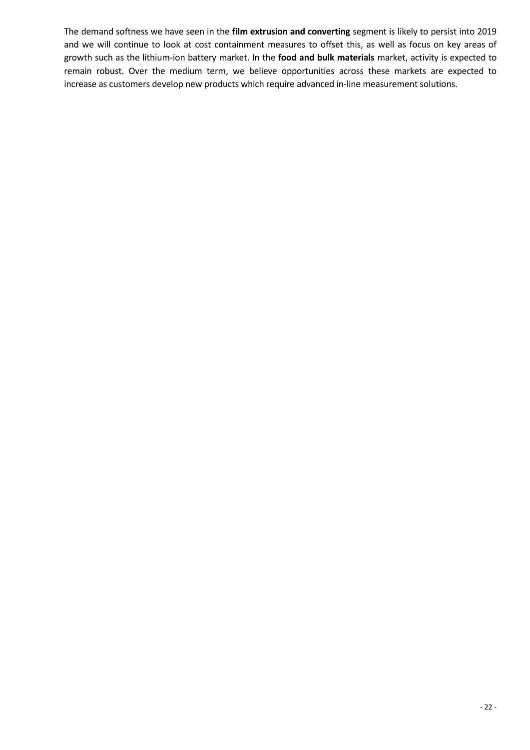The demand softness we have seen in the **film extrusion and converting** segment is likely to persist into 2019 and we will continue to look at cost containment measures to offset this, as well as focus on key areas of growth such as the lithium-ion battery market. In the **food and bulk materials** market, activity is expected to remain robust. Over the medium term, we believe opportunities across these markets are expected to increase as customers develop new products which require advanced in-line measurement solutions.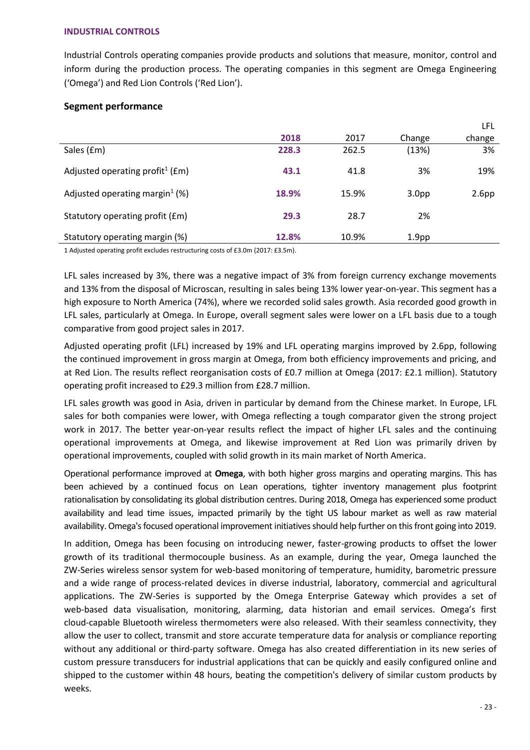### **INDUSTRIAL CONTROLS**

Industrial Controls operating companies provide products and solutions that measure, monitor, control and inform during the production process. The operating companies in this segment are Omega Engineering ('Omega') and Red Lion Controls ('Red Lion').

### **Segment performance**

|                                                 |       |       |                   | . LI L            |
|-------------------------------------------------|-------|-------|-------------------|-------------------|
|                                                 | 2018  | 2017  | Change            | change            |
| Sales (£m)                                      | 228.3 | 262.5 | (13%)             | 3%                |
| Adjusted operating profit <sup>1</sup> ( $Em$ ) | 43.1  | 41.8  | 3%                | 19%               |
| Adjusted operating margin <sup>1</sup> (%)      | 18.9% | 15.9% | 3.0 <sub>pp</sub> | 2.6 <sub>pp</sub> |
| Statutory operating profit (£m)                 | 29.3  | 28.7  | 2%                |                   |
| Statutory operating margin (%)                  | 12.8% | 10.9% | 1.9 <sub>pp</sub> |                   |

1 Adjusted operating profit excludes restructuring costs of £3.0m (2017: £3.5m).

LFL sales increased by 3%, there was a negative impact of 3% from foreign currency exchange movements and 13% from the disposal of Microscan, resulting in sales being 13% lower year-on-year. This segment has a high exposure to North America (74%), where we recorded solid sales growth. Asia recorded good growth in LFL sales, particularly at Omega. In Europe, overall segment sales were lower on a LFL basis due to a tough comparative from good project sales in 2017.

Adjusted operating profit (LFL) increased by 19% and LFL operating margins improved by 2.6pp, following the continued improvement in gross margin at Omega, from both efficiency improvements and pricing, and at Red Lion. The results reflect reorganisation costs of £0.7 million at Omega (2017: £2.1 million). Statutory operating profit increased to £29.3 million from £28.7 million.

LFL sales growth was good in Asia, driven in particular by demand from the Chinese market. In Europe, LFL sales for both companies were lower, with Omega reflecting a tough comparator given the strong project work in 2017. The better year-on-year results reflect the impact of higher LFL sales and the continuing operational improvements at Omega, and likewise improvement at Red Lion was primarily driven by operational improvements, coupled with solid growth in its main market of North America.

Operational performance improved at **Omega**, with both higher gross margins and operating margins. This has been achieved by a continued focus on Lean operations, tighter inventory management plus footprint rationalisation by consolidating its global distribution centres. During 2018, Omega has experienced some product availability and lead time issues, impacted primarily by the tight US labour market as well as raw material availability. Omega's focused operational improvement initiatives should help further on this front going into 2019.

In addition, Omega has been focusing on introducing newer, faster-growing products to offset the lower growth of its traditional thermocouple business. As an example, during the year, Omega launched the ZW-Series wireless sensor system for web-based monitoring of temperature, humidity, barometric pressure and a wide range of process-related devices in diverse industrial, laboratory, commercial and agricultural applications. The ZW-Series is supported by the Omega Enterprise Gateway which provides a set of web-based data visualisation, monitoring, alarming, data historian and email services. Omega's first cloud-capable Bluetooth wireless thermometers were also released. With their seamless connectivity, they allow the user to collect, transmit and store accurate temperature data for analysis or compliance reporting without any additional or third-party software. Omega has also created differentiation in its new series of custom pressure transducers for industrial applications that can be quickly and easily configured online and shipped to the customer within 48 hours, beating the competition's delivery of similar custom products by weeks.

LFL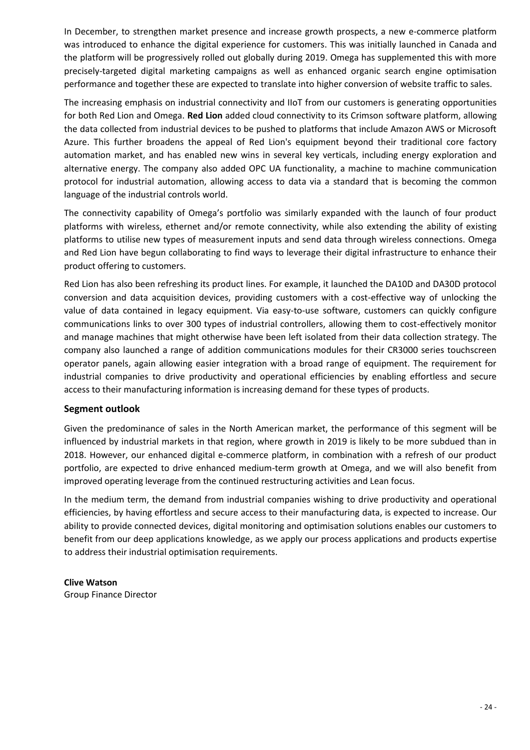In December, to strengthen market presence and increase growth prospects, a new e-commerce platform was introduced to enhance the digital experience for customers. This was initially launched in Canada and the platform will be progressively rolled out globally during 2019. Omega has supplemented this with more precisely-targeted digital marketing campaigns as well as enhanced organic search engine optimisation performance and together these are expected to translate into higher conversion of website traffic to sales.

The increasing emphasis on industrial connectivity and IIoT from our customers is generating opportunities for both Red Lion and Omega. **Red Lion** added cloud connectivity to its Crimson software platform, allowing the data collected from industrial devices to be pushed to platforms that include Amazon AWS or Microsoft Azure. This further broadens the appeal of Red Lion's equipment beyond their traditional core factory automation market, and has enabled new wins in several key verticals, including energy exploration and alternative energy. The company also added OPC UA functionality, a machine to machine communication protocol for industrial automation, allowing access to data via a standard that is becoming the common language of the industrial controls world.

The connectivity capability of Omega's portfolio was similarly expanded with the launch of four product platforms with wireless, ethernet and/or remote connectivity, while also extending the ability of existing platforms to utilise new types of measurement inputs and send data through wireless connections. Omega and Red Lion have begun collaborating to find ways to leverage their digital infrastructure to enhance their product offering to customers.

Red Lion has also been refreshing its product lines. For example, it launched the DA10D and DA30D protocol conversion and data acquisition devices, providing customers with a cost-effective way of unlocking the value of data contained in legacy equipment. Via easy-to-use software, customers can quickly configure communications links to over 300 types of industrial controllers, allowing them to cost-effectively monitor and manage machines that might otherwise have been left isolated from their data collection strategy. The company also launched a range of addition communications modules for their CR3000 series touchscreen operator panels, again allowing easier integration with a broad range of equipment. The requirement for industrial companies to drive productivity and operational efficiencies by enabling effortless and secure access to their manufacturing information is increasing demand for these types of products.

### **Segment outlook**

Given the predominance of sales in the North American market, the performance of this segment will be influenced by industrial markets in that region, where growth in 2019 is likely to be more subdued than in 2018. However, our enhanced digital e-commerce platform, in combination with a refresh of our product portfolio, are expected to drive enhanced medium-term growth at Omega, and we will also benefit from improved operating leverage from the continued restructuring activities and Lean focus.

In the medium term, the demand from industrial companies wishing to drive productivity and operational efficiencies, by having effortless and secure access to their manufacturing data, is expected to increase. Our ability to provide connected devices, digital monitoring and optimisation solutions enables our customers to benefit from our deep applications knowledge, as we apply our process applications and products expertise to address their industrial optimisation requirements.

**Clive Watson** Group Finance Director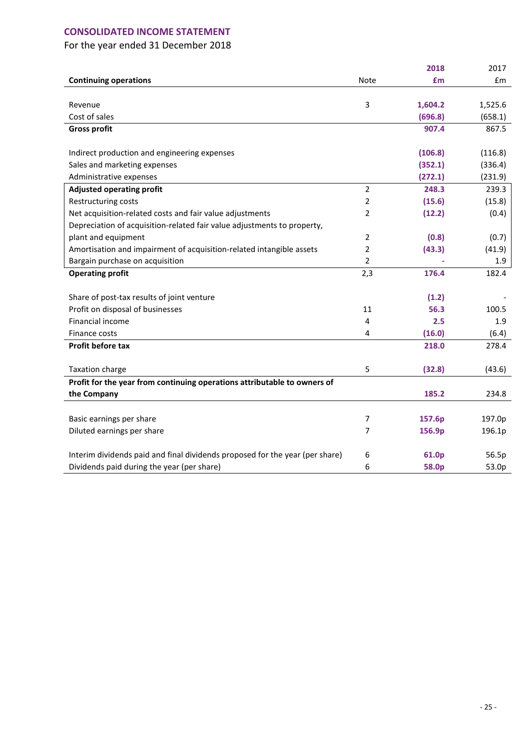### **CONSOLIDATED INCOME STATEMENT**

|                                                                              |                | 2018    | 2017    |
|------------------------------------------------------------------------------|----------------|---------|---------|
| <b>Continuing operations</b>                                                 | <b>Note</b>    | £m      | £m      |
|                                                                              |                |         |         |
| Revenue                                                                      | 3              | 1,604.2 | 1,525.6 |
| Cost of sales                                                                |                | (696.8) | (658.1) |
| <b>Gross profit</b>                                                          |                | 907.4   | 867.5   |
|                                                                              |                |         |         |
| Indirect production and engineering expenses                                 |                | (106.8) | (116.8) |
| Sales and marketing expenses                                                 |                | (352.1) | (336.4) |
| Administrative expenses                                                      |                | (272.1) | (231.9) |
| <b>Adjusted operating profit</b>                                             | $\overline{2}$ | 248.3   | 239.3   |
| Restructuring costs                                                          | 2              | (15.6)  | (15.8)  |
| Net acquisition-related costs and fair value adjustments                     | 2              | (12.2)  | (0.4)   |
| Depreciation of acquisition-related fair value adjustments to property,      |                |         |         |
| plant and equipment                                                          | 2              | (0.8)   | (0.7)   |
| Amortisation and impairment of acquisition-related intangible assets         | 2              | (43.3)  | (41.9)  |
| Bargain purchase on acquisition                                              | 2              |         | 1.9     |
| <b>Operating profit</b>                                                      | 2,3            | 176.4   | 182.4   |
|                                                                              |                |         |         |
| Share of post-tax results of joint venture                                   |                | (1.2)   |         |
| Profit on disposal of businesses                                             | 11             | 56.3    | 100.5   |
| Financial income                                                             | 4              | 2.5     | 1.9     |
| Finance costs                                                                | 4              | (16.0)  | (6.4)   |
| Profit before tax                                                            |                | 218.0   | 278.4   |
|                                                                              |                |         |         |
| <b>Taxation charge</b>                                                       | 5              | (32.8)  | (43.6)  |
| Profit for the year from continuing operations attributable to owners of     |                |         |         |
| the Company                                                                  |                | 185.2   | 234.8   |
|                                                                              |                |         |         |
| Basic earnings per share                                                     | 7              | 157.6p  | 197.0p  |
| Diluted earnings per share                                                   | 7              | 156.9p  | 196.1p  |
|                                                                              |                |         |         |
| Interim dividends paid and final dividends proposed for the year (per share) | 6              | 61.0p   | 56.5p   |
| Dividends paid during the year (per share)                                   | 6              | 58.0p   | 53.0p   |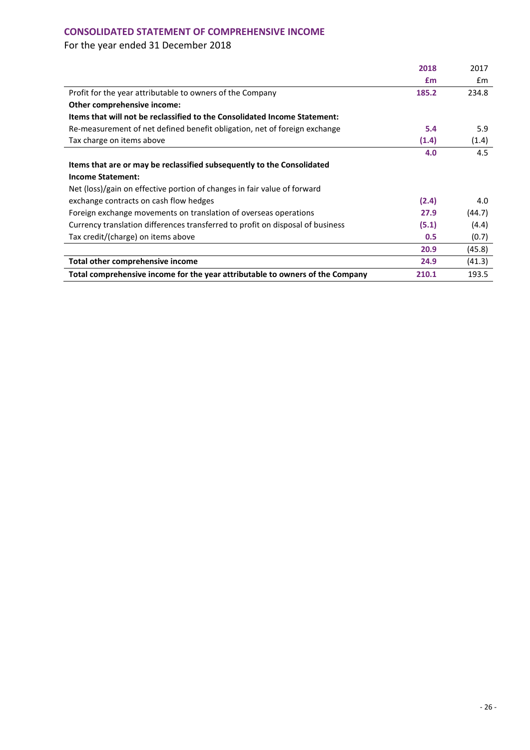### **CONSOLIDATED STATEMENT OF COMPREHENSIVE INCOME**

|                                                                                | 2018  | 2017   |
|--------------------------------------------------------------------------------|-------|--------|
|                                                                                | £m    | £m     |
| Profit for the year attributable to owners of the Company                      | 185.2 | 234.8  |
| Other comprehensive income:                                                    |       |        |
| Items that will not be reclassified to the Consolidated Income Statement:      |       |        |
| Re-measurement of net defined benefit obligation, net of foreign exchange      | 5.4   | 5.9    |
| Tax charge on items above                                                      | (1.4) | (1.4)  |
|                                                                                | 4.0   | 4.5    |
| Items that are or may be reclassified subsequently to the Consolidated         |       |        |
| <b>Income Statement:</b>                                                       |       |        |
| Net (loss)/gain on effective portion of changes in fair value of forward       |       |        |
| exchange contracts on cash flow hedges                                         | (2.4) | 4.0    |
| Foreign exchange movements on translation of overseas operations               | 27.9  | (44.7) |
| Currency translation differences transferred to profit on disposal of business | (5.1) | (4.4)  |
| Tax credit/(charge) on items above                                             | 0.5   | (0.7)  |
|                                                                                | 20.9  | (45.8) |
| Total other comprehensive income                                               | 24.9  | (41.3) |
| Total comprehensive income for the year attributable to owners of the Company  | 210.1 | 193.5  |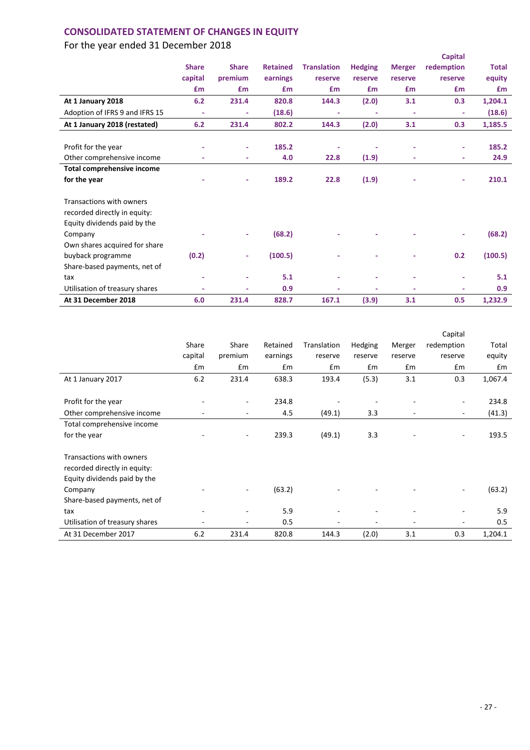## **CONSOLIDATED STATEMENT OF CHANGES IN EQUITY**

|                                   |              |              |                 |                    |                          |                          | <b>Capital</b> |              |
|-----------------------------------|--------------|--------------|-----------------|--------------------|--------------------------|--------------------------|----------------|--------------|
|                                   | <b>Share</b> | <b>Share</b> | <b>Retained</b> | <b>Translation</b> | <b>Hedging</b>           | <b>Merger</b>            | redemption     | <b>Total</b> |
|                                   | capital      | premium      | earnings        | reserve            | reserve                  | reserve                  | reserve        | equity       |
|                                   | £m           | £m           | <b>f</b> m      | <b>£m</b>          | £m                       | <b>£m</b>                | £m             | £m           |
| At 1 January 2018                 | 6.2          | 231.4        | 820.8           | 144.3              | (2.0)                    | 3.1                      | 0.3            | 1,204.1      |
| Adoption of IFRS 9 and IFRS 15    | ÷            | ٠            | (18.6)          | ٠                  | $\overline{\phantom{a}}$ | $\overline{\phantom{a}}$ | ٠              | (18.6)       |
| At 1 January 2018 (restated)      | 6.2          | 231.4        | 802.2           | 144.3              | (2.0)                    | 3.1                      | 0.3            | 1,185.5      |
|                                   |              |              |                 |                    |                          |                          |                |              |
| Profit for the year               |              | ٠            | 185.2           |                    |                          |                          |                | 185.2        |
| Other comprehensive income        |              | ٠            | 4.0             | 22.8               | (1.9)                    |                          | ٠              | 24.9         |
| <b>Total comprehensive income</b> |              |              |                 |                    |                          |                          |                |              |
| for the year                      |              | ٠            | 189.2           | 22.8               | (1.9)                    |                          | ٠              | 210.1        |
| Transactions with owners          |              |              |                 |                    |                          |                          |                |              |
|                                   |              |              |                 |                    |                          |                          |                |              |
| recorded directly in equity:      |              |              |                 |                    |                          |                          |                |              |
| Equity dividends paid by the      |              |              |                 |                    |                          |                          |                |              |
| Company                           |              |              | (68.2)          |                    |                          |                          |                | (68.2)       |
| Own shares acquired for share     |              |              |                 |                    |                          |                          |                |              |
| buyback programme                 | (0.2)        | ٠            | (100.5)         |                    |                          |                          | 0.2            | (100.5)      |
| Share-based payments, net of      |              |              |                 |                    |                          |                          |                |              |
| tax                               |              | ٠            | 5.1             | ٠                  | ٠                        | ٠                        |                | 5.1          |
| Utilisation of treasury shares    |              |              | 0.9             |                    | ٠                        |                          |                | 0.9          |
| At 31 December 2018               | 6.0          | 231.4        | 828.7           | 167.1              | (3.9)                    | 3.1                      | 0.5            | 1,232.9      |

|                                |         |         |          |             |         |         | Capital    |         |
|--------------------------------|---------|---------|----------|-------------|---------|---------|------------|---------|
|                                | Share   | Share   | Retained | Translation | Hedging | Merger  | redemption | Total   |
|                                |         |         |          |             |         |         |            |         |
|                                | capital | premium | earnings | reserve     | reserve | reserve | reserve    | equity  |
|                                | Em      | £m      | £m       | £m          | £m      | £m      | £m         | Em      |
| At 1 January 2017              | 6.2     | 231.4   | 638.3    | 193.4       | (5.3)   | 3.1     | 0.3        | 1,067.4 |
|                                |         |         |          |             |         |         |            |         |
| Profit for the year            |         | -       | 234.8    |             |         |         |            | 234.8   |
| Other comprehensive income     |         | ۰       | 4.5      | (49.1)      | 3.3     |         | ۰          | (41.3)  |
| Total comprehensive income     |         |         |          |             |         |         |            |         |
| for the year                   |         | ٠       | 239.3    | (49.1)      | 3.3     |         |            | 193.5   |
| Transactions with owners       |         |         |          |             |         |         |            |         |
| recorded directly in equity:   |         |         |          |             |         |         |            |         |
| Equity dividends paid by the   |         |         |          |             |         |         |            |         |
| Company                        |         |         | (63.2)   |             |         |         |            | (63.2)  |
| Share-based payments, net of   |         |         |          |             |         |         |            |         |
| tax                            |         |         | 5.9      |             |         |         |            | 5.9     |
| Utilisation of treasury shares |         | ۰       | 0.5      |             | ۰       |         |            | 0.5     |
| At 31 December 2017            | 6.2     | 231.4   | 820.8    | 144.3       | (2.0)   | 3.1     | 0.3        | 1,204.1 |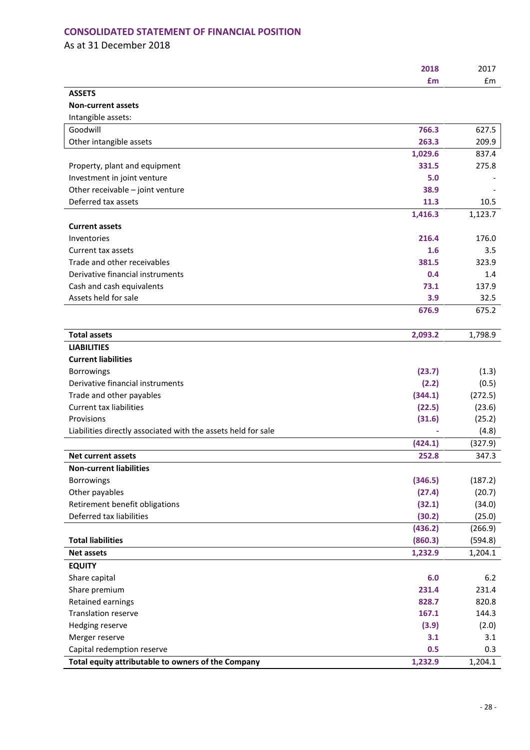### **CONSOLIDATED STATEMENT OF FINANCIAL POSITION**

As at 31 December 2018

|                                                               | 2018    | 2017    |
|---------------------------------------------------------------|---------|---------|
|                                                               | £m      | £m      |
| <b>ASSETS</b>                                                 |         |         |
| <b>Non-current assets</b>                                     |         |         |
| Intangible assets:                                            |         |         |
| Goodwill                                                      | 766.3   | 627.5   |
| Other intangible assets                                       | 263.3   | 209.9   |
|                                                               | 1,029.6 | 837.4   |
| Property, plant and equipment                                 | 331.5   | 275.8   |
| Investment in joint venture                                   | 5.0     |         |
| Other receivable - joint venture                              | 38.9    |         |
| Deferred tax assets                                           | 11.3    | 10.5    |
|                                                               | 1,416.3 | 1,123.7 |
| <b>Current assets</b>                                         |         |         |
| Inventories                                                   | 216.4   | 176.0   |
| Current tax assets                                            | 1.6     | 3.5     |
| Trade and other receivables                                   | 381.5   | 323.9   |
| Derivative financial instruments                              | 0.4     | 1.4     |
| Cash and cash equivalents                                     | 73.1    | 137.9   |
| Assets held for sale                                          | 3.9     | 32.5    |
|                                                               | 676.9   | 675.2   |
| <b>Total assets</b>                                           | 2,093.2 | 1,798.9 |
| <b>LIABILITIES</b>                                            |         |         |
| <b>Current liabilities</b>                                    |         |         |
| <b>Borrowings</b>                                             | (23.7)  | (1.3)   |
| Derivative financial instruments                              | (2.2)   | (0.5)   |
| Trade and other payables                                      | (344.1) | (272.5) |
| <b>Current tax liabilities</b>                                | (22.5)  | (23.6)  |
| Provisions                                                    | (31.6)  | (25.2)  |
| Liabilities directly associated with the assets held for sale |         | (4.8)   |
|                                                               | (424.1) | (327.9) |
| <b>Net current assets</b>                                     | 252.8   | 347.3   |
| <b>Non-current liabilities</b>                                |         |         |
| <b>Borrowings</b>                                             | (346.5) | (187.2) |
| Other payables                                                | (27.4)  | (20.7)  |
| Retirement benefit obligations                                | (32.1)  | (34.0)  |
| Deferred tax liabilities                                      | (30.2)  | (25.0)  |
|                                                               | (436.2) | (266.9) |
| <b>Total liabilities</b>                                      | (860.3) | (594.8) |
| <b>Net assets</b>                                             | 1,232.9 | 1,204.1 |
| <b>EQUITY</b>                                                 |         |         |
| Share capital                                                 | 6.0     | 6.2     |
| Share premium                                                 | 231.4   | 231.4   |
| Retained earnings                                             | 828.7   | 820.8   |
| <b>Translation reserve</b>                                    | 167.1   | 144.3   |
| Hedging reserve                                               | (3.9)   | (2.0)   |
| Merger reserve                                                | 3.1     | 3.1     |
| Capital redemption reserve                                    | 0.5     | 0.3     |
| Total equity attributable to owners of the Company            | 1,232.9 | 1,204.1 |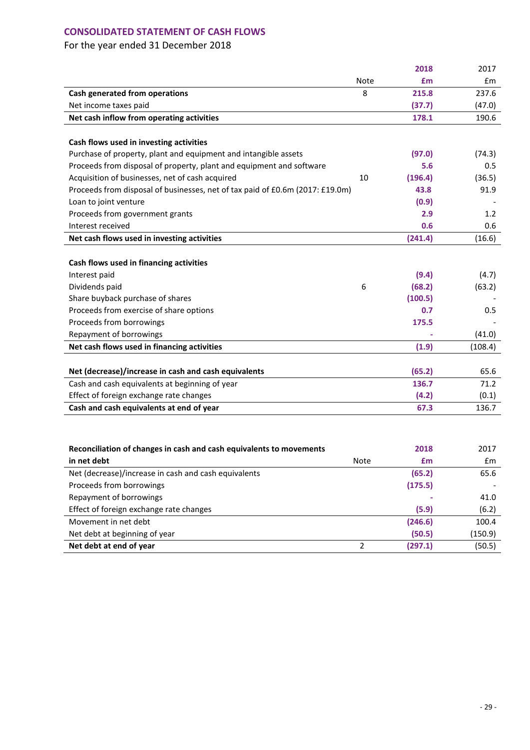### **CONSOLIDATED STATEMENT OF CASH FLOWS**

|                                                                               |                | 2018    | 2017    |
|-------------------------------------------------------------------------------|----------------|---------|---------|
|                                                                               | Note           | £m      | £m      |
| Cash generated from operations                                                | 8              | 215.8   | 237.6   |
| Net income taxes paid                                                         |                | (37.7)  | (47.0)  |
| Net cash inflow from operating activities                                     |                | 178.1   | 190.6   |
|                                                                               |                |         |         |
| Cash flows used in investing activities                                       |                |         |         |
| Purchase of property, plant and equipment and intangible assets               |                | (97.0)  | (74.3)  |
| Proceeds from disposal of property, plant and equipment and software          |                | 5.6     | 0.5     |
| Acquisition of businesses, net of cash acquired                               | 10             | (196.4) | (36.5)  |
| Proceeds from disposal of businesses, net of tax paid of £0.6m (2017: £19.0m) |                | 43.8    | 91.9    |
| Loan to joint venture                                                         |                | (0.9)   |         |
| Proceeds from government grants                                               |                | 2.9     | 1.2     |
| Interest received                                                             |                | 0.6     | 0.6     |
| Net cash flows used in investing activities                                   |                | (241.4) | (16.6)  |
|                                                                               |                |         |         |
| Cash flows used in financing activities                                       |                |         |         |
| Interest paid                                                                 |                | (9.4)   | (4.7)   |
| Dividends paid                                                                | 6              | (68.2)  | (63.2)  |
| Share buyback purchase of shares                                              |                | (100.5) |         |
| Proceeds from exercise of share options                                       |                | 0.7     | 0.5     |
| Proceeds from borrowings                                                      |                | 175.5   |         |
| Repayment of borrowings                                                       |                |         | (41.0)  |
| Net cash flows used in financing activities                                   |                | (1.9)   | (108.4) |
|                                                                               |                |         |         |
| Net (decrease)/increase in cash and cash equivalents                          |                | (65.2)  | 65.6    |
| Cash and cash equivalents at beginning of year                                |                | 136.7   | 71.2    |
| Effect of foreign exchange rate changes                                       |                | (4.2)   | (0.1)   |
| Cash and cash equivalents at end of year                                      |                | 67.3    | 136.7   |
|                                                                               |                |         |         |
|                                                                               |                |         |         |
| Reconciliation of changes in cash and cash equivalents to movements           |                | 2018    | 2017    |
| in net debt                                                                   | <b>Note</b>    | £m      | £m      |
| Net (decrease)/increase in cash and cash equivalents                          |                | (65.2)  | 65.6    |
| Proceeds from borrowings                                                      |                | (175.5) |         |
| Repayment of borrowings                                                       |                |         | 41.0    |
| Effect of foreign exchange rate changes                                       |                | (5.9)   | (6.2)   |
| Movement in net debt                                                          |                | (246.6) | 100.4   |
|                                                                               |                |         |         |
| Net debt at beginning of year                                                 |                | (50.5)  | (150.9) |
| Net debt at end of year                                                       | $\overline{2}$ | (297.1) | (50.5)  |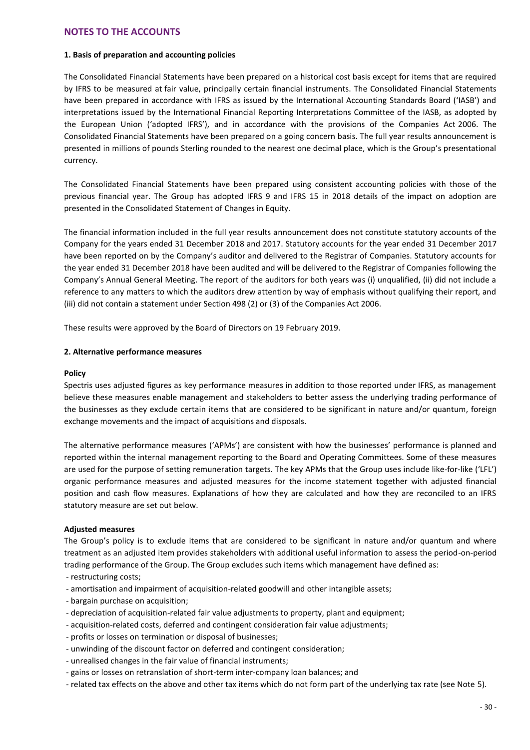### **NOTES TO THE ACCOUNTS**

### **1. Basis of preparation and accounting policies**

The Consolidated Financial Statements have been prepared on a historical cost basis except for items that are required by IFRS to be measured at fair value, principally certain financial instruments. The Consolidated Financial Statements have been prepared in accordance with IFRS as issued by the International Accounting Standards Board ('IASB') and interpretations issued by the International Financial Reporting Interpretations Committee of the IASB, as adopted by the European Union ('adopted IFRS'), and in accordance with the provisions of the Companies Act 2006. The Consolidated Financial Statements have been prepared on a going concern basis. The full year results announcement is presented in millions of pounds Sterling rounded to the nearest one decimal place, which is the Group's presentational currency.

The Consolidated Financial Statements have been prepared using consistent accounting policies with those of the previous financial year. The Group has adopted IFRS 9 and IFRS 15 in 2018 details of the impact on adoption are presented in the Consolidated Statement of Changes in Equity.

The financial information included in the full year results announcement does not constitute statutory accounts of the Company for the years ended 31 December 2018 and 2017. Statutory accounts for the year ended 31 December 2017 have been reported on by the Company's auditor and delivered to the Registrar of Companies. Statutory accounts for the year ended 31 December 2018 have been audited and will be delivered to the Registrar of Companies following the Company's Annual General Meeting. The report of the auditors for both years was (i) unqualified, (ii) did not include a reference to any matters to which the auditors drew attention by way of emphasis without qualifying their report, and (iii) did not contain a statement under Section 498 (2) or (3) of the Companies Act 2006.

These results were approved by the Board of Directors on 19 February 2019.

#### **2. Alternative performance measures**

#### **Policy**

Spectris uses adjusted figures as key performance measures in addition to those reported under IFRS, as management believe these measures enable management and stakeholders to better assess the underlying trading performance of the businesses as they exclude certain items that are considered to be significant in nature and/or quantum, foreign exchange movements and the impact of acquisitions and disposals.

The alternative performance measures ('APMs') are consistent with how the businesses' performance is planned and reported within the internal management reporting to the Board and Operating Committees. Some of these measures are used for the purpose of setting remuneration targets. The key APMs that the Group uses include like-for-like ('LFL') organic performance measures and adjusted measures for the income statement together with adjusted financial position and cash flow measures. Explanations of how they are calculated and how they are reconciled to an IFRS statutory measure are set out below.

#### **Adjusted measures**

The Group's policy is to exclude items that are considered to be significant in nature and/or quantum and where treatment as an adjusted item provides stakeholders with additional useful information to assess the period-on-period trading performance of the Group. The Group excludes such items which management have defined as:

- restructuring costs;
- amortisation and impairment of acquisition-related goodwill and other intangible assets;
- bargain purchase on acquisition;
- depreciation of acquisition-related fair value adjustments to property, plant and equipment;
- acquisition-related costs, deferred and contingent consideration fair value adjustments;
- profits or losses on termination or disposal of businesses;
- unwinding of the discount factor on deferred and contingent consideration;
- unrealised changes in the fair value of financial instruments;
- gains or losses on retranslation of short-term inter-company loan balances; and
- related tax effects on the above and other tax items which do not form part of the underlying tax rate (see Note 5).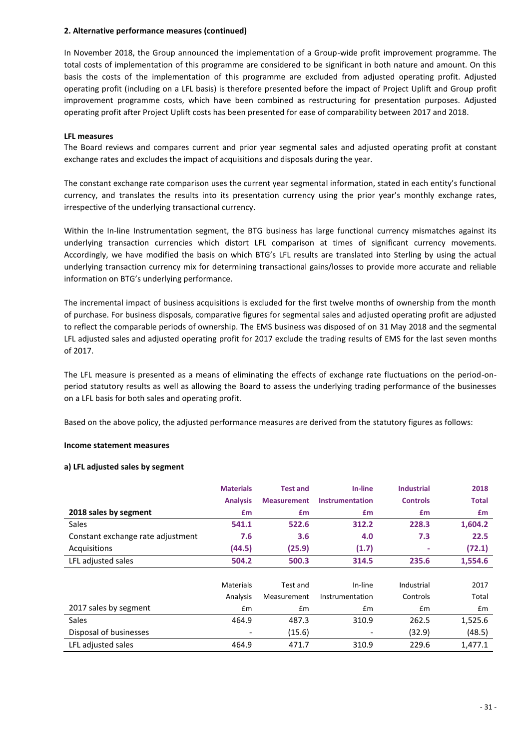In November 2018, the Group announced the implementation of a Group-wide profit improvement programme. The total costs of implementation of this programme are considered to be significant in both nature and amount. On this basis the costs of the implementation of this programme are excluded from adjusted operating profit. Adjusted operating profit (including on a LFL basis) is therefore presented before the impact of Project Uplift and Group profit improvement programme costs, which have been combined as restructuring for presentation purposes. Adjusted operating profit after Project Uplift costs has been presented for ease of comparability between 2017 and 2018.

### **LFL measures**

The Board reviews and compares current and prior year segmental sales and adjusted operating profit at constant exchange rates and excludes the impact of acquisitions and disposals during the year.

The constant exchange rate comparison uses the current year segmental information, stated in each entity's functional currency, and translates the results into its presentation currency using the prior year's monthly exchange rates, irrespective of the underlying transactional currency.

Within the In-line Instrumentation segment, the BTG business has large functional currency mismatches against its underlying transaction currencies which distort LFL comparison at times of significant currency movements. Accordingly, we have modified the basis on which BTG's LFL results are translated into Sterling by using the actual underlying transaction currency mix for determining transactional gains/losses to provide more accurate and reliable information on BTG's underlying performance.

The incremental impact of business acquisitions is excluded for the first twelve months of ownership from the month of purchase. For business disposals, comparative figures for segmental sales and adjusted operating profit are adjusted to reflect the comparable periods of ownership. The EMS business was disposed of on 31 May 2018 and the segmental LFL adjusted sales and adjusted operating profit for 2017 exclude the trading results of EMS for the last seven months of 2017.

The LFL measure is presented as a means of eliminating the effects of exchange rate fluctuations on the period-onperiod statutory results as well as allowing the Board to assess the underlying trading performance of the businesses on a LFL basis for both sales and operating profit.

Based on the above policy, the adjusted performance measures are derived from the statutory figures as follows:

### **Income statement measures**

### **a) LFL adjusted sales by segment**

|                                   | <b>Materials</b> | <b>Test and</b>    | In-line                | <b>Industrial</b> | 2018         |
|-----------------------------------|------------------|--------------------|------------------------|-------------------|--------------|
|                                   | <b>Analysis</b>  | <b>Measurement</b> | <b>Instrumentation</b> | <b>Controls</b>   | <b>Total</b> |
| 2018 sales by segment             | £m               | £m                 | £m                     | <b>f</b> m        | £m           |
| Sales                             | 541.1            | 522.6              | 312.2                  | 228.3             | 1,604.2      |
| Constant exchange rate adjustment | 7.6              | 3.6                | 4.0                    | 7.3               | 22.5         |
| Acquisitions                      | (44.5)           | (25.9)             | (1.7)                  | ۰                 | (72.1)       |
| LFL adjusted sales                | 504.2            | 500.3              | 314.5                  | 235.6             | 1,554.6      |
|                                   |                  |                    |                        |                   |              |
|                                   | <b>Materials</b> | Test and           | In-line                | Industrial        | 2017         |
|                                   | Analysis         | Measurement        | Instrumentation        | Controls          | Total        |
| 2017 sales by segment             | £m               | £m                 | Em                     | £m                | £m           |
| <b>Sales</b>                      | 464.9            | 487.3              | 310.9                  | 262.5             | 1,525.6      |
| Disposal of businesses            | $\qquad \qquad$  | (15.6)             |                        | (32.9)            | (48.5)       |
| LFL adjusted sales                | 464.9            | 471.7              | 310.9                  | 229.6             | 1.477.1      |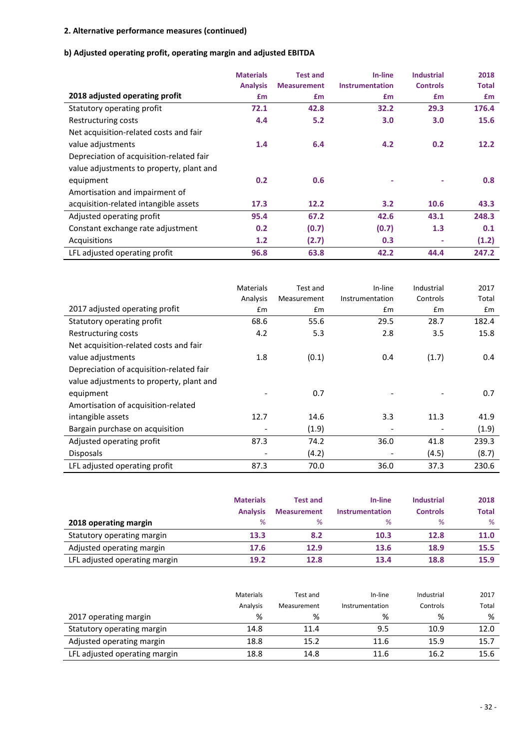### **b) Adjusted operating profit, operating margin and adjusted EBITDA**

|                                          | <b>Materials</b> | <b>Test and</b>    | In-line         | <b>Industrial</b> | 2018         |
|------------------------------------------|------------------|--------------------|-----------------|-------------------|--------------|
|                                          | <b>Analysis</b>  | <b>Measurement</b> | Instrumentation | <b>Controls</b>   | <b>Total</b> |
| 2018 adjusted operating profit           | £m               | £m                 | <b>fm</b>       | £m                | <b>f</b> m   |
| Statutory operating profit               | 72.1             | 42.8               | 32.2            | 29.3              | 176.4        |
| Restructuring costs                      | 4.4              | 5.2                | 3.0             | 3.0               | 15.6         |
| Net acquisition-related costs and fair   |                  |                    |                 |                   |              |
| value adjustments                        | 1.4              | 6.4                | 4.2             | 0.2               | 12.2         |
| Depreciation of acquisition-related fair |                  |                    |                 |                   |              |
| value adjustments to property, plant and |                  |                    |                 |                   |              |
| equipment                                | 0.2              | 0.6                |                 |                   | 0.8          |
| Amortisation and impairment of           |                  |                    |                 |                   |              |
| acquisition-related intangible assets    | 17.3             | 12.2               | 3.2             | 10.6              | 43.3         |
| Adjusted operating profit                | 95.4             | 67.2               | 42.6            | 43.1              | 248.3        |
| Constant exchange rate adjustment        | 0.2              | (0.7)              | (0.7)           | 1.3               | 0.1          |
| Acquisitions                             | 1.2              | (2.7)              | 0.3             | ۰                 | (1.2)        |
| LFL adjusted operating profit            | 96.8             | 63.8               | 42.2            | 44.4              | 247.2        |

|                                          | <b>Materials</b> | Test and    | In-line                  | Industrial | 2017  |
|------------------------------------------|------------------|-------------|--------------------------|------------|-------|
|                                          | Analysis         | Measurement | Instrumentation          | Controls   | Total |
| 2017 adjusted operating profit           | £m               | £m          | £m                       | £m         | £m    |
| Statutory operating profit               | 68.6             | 55.6        | 29.5                     | 28.7       | 182.4 |
| Restructuring costs                      | 4.2              | 5.3         | 2.8                      | 3.5        | 15.8  |
| Net acquisition-related costs and fair   |                  |             |                          |            |       |
| value adjustments                        | 1.8              | (0.1)       | 0.4                      | (1.7)      | 0.4   |
| Depreciation of acquisition-related fair |                  |             |                          |            |       |
| value adjustments to property, plant and |                  |             |                          |            |       |
| equipment                                |                  | 0.7         |                          |            | 0.7   |
| Amortisation of acquisition-related      |                  |             |                          |            |       |
| intangible assets                        | 12.7             | 14.6        | 3.3                      | 11.3       | 41.9  |
| Bargain purchase on acquisition          |                  | (1.9)       | $\overline{\phantom{a}}$ |            | (1.9) |
| Adjusted operating profit                | 87.3             | 74.2        | 36.0                     | 41.8       | 239.3 |
| <b>Disposals</b>                         |                  | (4.2)       |                          | (4.5)      | (8.7) |
| LFL adjusted operating profit            | 87.3             | 70.0        | 36.0                     | 37.3       | 230.6 |

|                               | <b>Materials</b><br><b>Analysis</b> | <b>Test and</b><br><b>Measurement</b> | In-line<br><b>Instrumentation</b> | <b>Industrial</b><br><b>Controls</b> | 2018<br><b>Total</b> |
|-------------------------------|-------------------------------------|---------------------------------------|-----------------------------------|--------------------------------------|----------------------|
| 2018 operating margin         | ℅                                   | ℅                                     | %                                 | %                                    | %                    |
| Statutory operating margin    | 13.3                                | 8.2                                   | 10.3                              | 12.8                                 | 11.0                 |
| Adjusted operating margin     | 17.6                                | 12.9                                  | 13.6                              | 18.9                                 | 15.5                 |
| LFL adjusted operating margin | 19.2                                | 12.8                                  | 13.4                              | 18.8                                 | 15.9                 |

|                               | Materials | Test and    | In-line         | Industrial | 2017  |
|-------------------------------|-----------|-------------|-----------------|------------|-------|
|                               | Analysis  | Measurement | Instrumentation | Controls   | Total |
| 2017 operating margin         | %         | %           | %               | %          | %     |
| Statutory operating margin    | 14.8      | 11.4        | 9.5             | 10.9       | 12.0  |
| Adjusted operating margin     | 18.8      | 15.2        | 11.6            | 15.9       | 15.7  |
| LFL adjusted operating margin | 18.8      | 14.8        | 11.6            | 16.2       | 15.6  |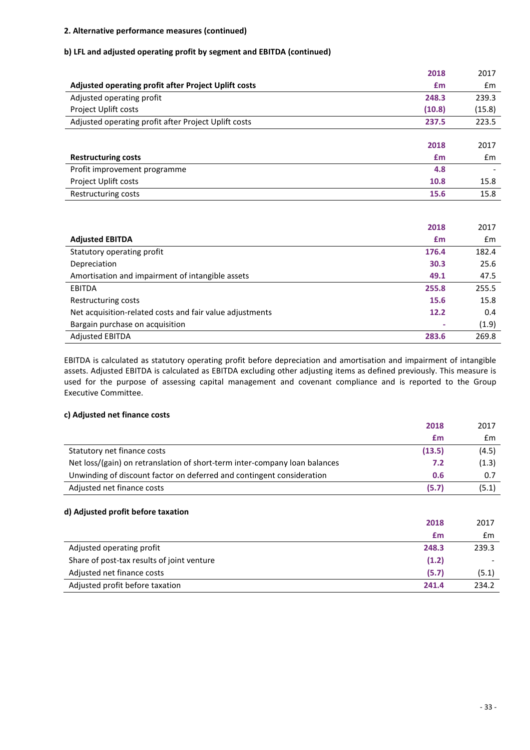### **b) LFL and adjusted operating profit by segment and EBITDA (continued)**

|                                                      | 2018   | 2017   |
|------------------------------------------------------|--------|--------|
| Adjusted operating profit after Project Uplift costs | £m     | Em     |
| Adjusted operating profit                            | 248.3  | 239.3  |
| Project Uplift costs                                 | (10.8) | (15.8) |
| Adjusted operating profit after Project Uplift costs | 237.5  | 223.5  |
|                                                      |        |        |
|                                                      | 2018   | 2017   |
| <b>Restructuring costs</b>                           | £m     | £m     |
| Profit improvement programme                         | 4.8    |        |
| Project Uplift costs                                 | 10.8   | 15.8   |
| Restructuring costs                                  | 15.6   | 15.8   |

|                                                          | 2018  | 2017  |
|----------------------------------------------------------|-------|-------|
| <b>Adjusted EBITDA</b>                                   | £m    | Em    |
| Statutory operating profit                               | 176.4 | 182.4 |
| Depreciation                                             | 30.3  | 25.6  |
| Amortisation and impairment of intangible assets         | 49.1  | 47.5  |
| <b>EBITDA</b>                                            | 255.8 | 255.5 |
| Restructuring costs                                      | 15.6  | 15.8  |
| Net acquisition-related costs and fair value adjustments | 12.2  | 0.4   |
| Bargain purchase on acquisition                          |       | (1.9) |
| <b>Adjusted EBITDA</b>                                   | 283.6 | 269.8 |

EBITDA is calculated as statutory operating profit before depreciation and amortisation and impairment of intangible assets. Adjusted EBITDA is calculated as EBITDA excluding other adjusting items as defined previously. This measure is used for the purpose of assessing capital management and covenant compliance and is reported to the Group Executive Committee.

### **c) Adjusted net finance costs**

|                                                                            | 2018   | 2017          |
|----------------------------------------------------------------------------|--------|---------------|
|                                                                            | £m     | £m            |
| Statutory net finance costs                                                | (13.5) | (4.5)         |
| Net loss/(gain) on retranslation of short-term inter-company loan balances | 7.2    | (1.3)         |
| Unwinding of discount factor on deferred and contingent consideration      | 0.6    | 0.7           |
| Adjusted net finance costs                                                 | (5.7)  | (5.1)         |
| d) Adjusted profit before taxation                                         | 2018   | 2017          |
|                                                                            | £m     | $\mathsf{fm}$ |
| Adjusted operating profit                                                  | 248.3  | 239.3         |
| Share of post-tax results of joint venture                                 | (1.2)  |               |
| Adjusted net finance costs                                                 | (5.7)  | (5.1)         |
| Adjusted profit before taxation                                            | 241.4  | 234.2         |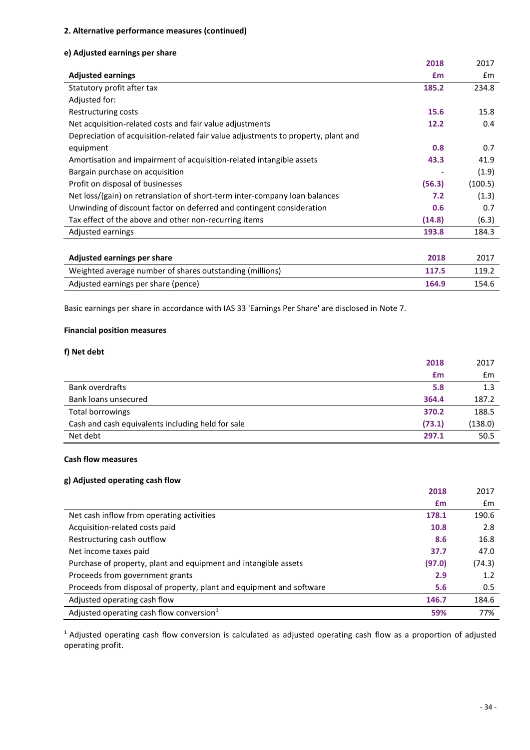### **e) Adjusted earnings per share**

|                                                                                   | 2018   | 2017          |
|-----------------------------------------------------------------------------------|--------|---------------|
| <b>Adjusted earnings</b>                                                          | £m     | $\mathsf{fm}$ |
| Statutory profit after tax                                                        | 185.2  | 234.8         |
| Adjusted for:                                                                     |        |               |
| Restructuring costs                                                               | 15.6   | 15.8          |
| Net acquisition-related costs and fair value adjustments                          | 12.2   | 0.4           |
| Depreciation of acquisition-related fair value adjustments to property, plant and |        |               |
| equipment                                                                         | 0.8    | 0.7           |
| Amortisation and impairment of acquisition-related intangible assets              | 43.3   | 41.9          |
| Bargain purchase on acquisition                                                   |        | (1.9)         |
| Profit on disposal of businesses                                                  | (56.3) | (100.5)       |
| Net loss/(gain) on retranslation of short-term inter-company loan balances        | 7.2    | (1.3)         |
| Unwinding of discount factor on deferred and contingent consideration             | 0.6    | 0.7           |
| Tax effect of the above and other non-recurring items                             | (14.8) | (6.3)         |
| Adjusted earnings                                                                 | 193.8  | 184.3         |
|                                                                                   |        |               |
|                                                                                   |        |               |

| Adjusted earnings per share                              | 2018  | 2017  |
|----------------------------------------------------------|-------|-------|
| Weighted average number of shares outstanding (millions) | 117.5 | 119.7 |
| Adjusted earnings per share (pence)                      | 164.9 | 154.6 |

Basic earnings per share in accordance with IAS 33 'Earnings Per Share' are disclosed in Note 7.

### **Financial position measures**

### **f) Net debt**

| £m                                                          | £m      |
|-------------------------------------------------------------|---------|
| <b>Bank overdrafts</b><br>5.8                               | 1.3     |
| Bank loans unsecured<br>364.4                               | 187.2   |
| Total borrowings<br>370.2                                   | 188.5   |
| (73.1)<br>Cash and cash equivalents including held for sale | (138.0) |
| Net debt<br>297.1                                           | 50.5    |

### **Cash flow measures**

### **g) Adjusted operating cash flow**

|                                                                      | 2018   | 2017   |
|----------------------------------------------------------------------|--------|--------|
|                                                                      | £m     | £m     |
| Net cash inflow from operating activities                            | 178.1  | 190.6  |
| Acquisition-related costs paid                                       | 10.8   | 2.8    |
| Restructuring cash outflow                                           | 8.6    | 16.8   |
| Net income taxes paid                                                | 37.7   | 47.0   |
| Purchase of property, plant and equipment and intangible assets      | (97.0) | (74.3) |
| Proceeds from government grants                                      | 2.9    | 1.2    |
| Proceeds from disposal of property, plant and equipment and software | 5.6    | 0.5    |
| Adjusted operating cash flow                                         | 146.7  | 184.6  |
| Adjusted operating cash flow conversion <sup>1</sup>                 | 59%    | 77%    |

<sup>1</sup> Adjusted operating cash flow conversion is calculated as adjusted operating cash flow as a proportion of adjusted operating profit.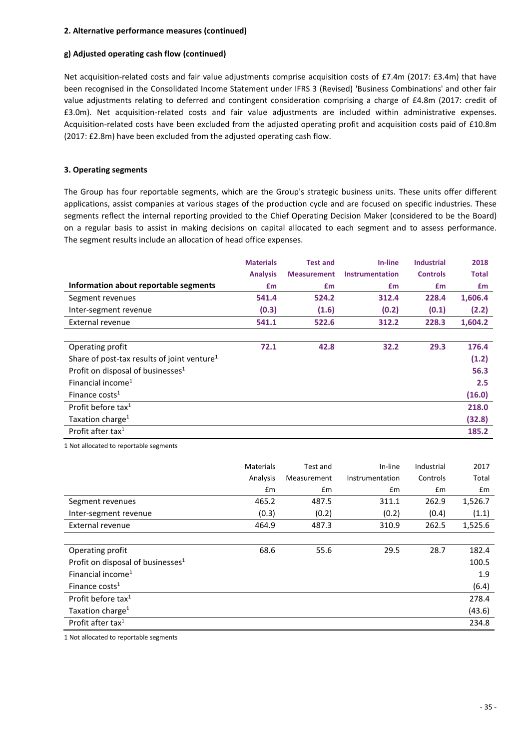### **g) Adjusted operating cash flow (continued)**

Net acquisition-related costs and fair value adjustments comprise acquisition costs of £7.4m (2017: £3.4m) that have been recognised in the Consolidated Income Statement under IFRS 3 (Revised) 'Business Combinations' and other fair value adjustments relating to deferred and contingent consideration comprising a charge of £4.8m (2017: credit of £3.0m). Net acquisition-related costs and fair value adjustments are included within administrative expenses. Acquisition-related costs have been excluded from the adjusted operating profit and acquisition costs paid of £10.8m (2017: £2.8m) have been excluded from the adjusted operating cash flow.

### **3. Operating segments**

The Group has four reportable segments, which are the Group's strategic business units. These units offer different applications, assist companies at various stages of the production cycle and are focused on specific industries. These segments reflect the internal reporting provided to the Chief Operating Decision Maker (considered to be the Board) on a regular basis to assist in making decisions on capital allocated to each segment and to assess performance. The segment results include an allocation of head office expenses.

|                                                         | <b>Materials</b> | <b>Test and</b>    | In-line                | <b>Industrial</b> | 2018         |
|---------------------------------------------------------|------------------|--------------------|------------------------|-------------------|--------------|
|                                                         | <b>Analysis</b>  | <b>Measurement</b> | <b>Instrumentation</b> | <b>Controls</b>   | <b>Total</b> |
| Information about reportable segments                   | £m               | £m                 | £m                     | £m                | £m           |
| Segment revenues                                        | 541.4            | 524.2              | 312.4                  | 228.4             | 1,606.4      |
| Inter-segment revenue                                   | (0.3)            | (1.6)              | (0.2)                  | (0.1)             | (2.2)        |
| External revenue                                        | 541.1            | 522.6              | 312.2                  | 228.3             | 1,604.2      |
|                                                         |                  |                    |                        |                   |              |
| Operating profit                                        | 72.1             | 42.8               | 32.2                   | 29.3              | 176.4        |
| Share of post-tax results of joint venture <sup>1</sup> |                  |                    |                        |                   | (1.2)        |
| Profit on disposal of businesses <sup>1</sup>           |                  |                    |                        |                   | 56.3         |
| Financial income <sup>1</sup>                           |                  |                    |                        |                   | 2.5          |
| Finance costs <sup>1</sup>                              |                  |                    |                        |                   | (16.0)       |
| Profit before tax <sup>1</sup>                          |                  |                    |                        |                   | 218.0        |
| Taxation charge <sup>1</sup>                            |                  |                    |                        |                   | (32.8)       |
| Profit after tax <sup>1</sup>                           |                  |                    |                        |                   | 185.2        |

1 Not allocated to reportable segments

|                                               | <b>Materials</b> | Test and    | In-line         | Industrial | 2017    |
|-----------------------------------------------|------------------|-------------|-----------------|------------|---------|
|                                               | Analysis         | Measurement | Instrumentation | Controls   | Total   |
|                                               | Em               | £m          | Em              | Em         | Em      |
| Segment revenues                              | 465.2            | 487.5       | 311.1           | 262.9      | 1,526.7 |
| Inter-segment revenue                         | (0.3)            | (0.2)       | (0.2)           | (0.4)      | (1.1)   |
| External revenue                              | 464.9            | 487.3       | 310.9           | 262.5      | 1,525.6 |
|                                               |                  |             |                 |            |         |
| Operating profit                              | 68.6             | 55.6        | 29.5            | 28.7       | 182.4   |
| Profit on disposal of businesses <sup>1</sup> |                  |             |                 |            | 100.5   |
| Financial income <sup>1</sup>                 |                  |             |                 |            | 1.9     |
| Finance costs <sup>1</sup>                    |                  |             |                 |            | (6.4)   |
| Profit before tax <sup>1</sup>                |                  |             |                 |            | 278.4   |
| Taxation charge <sup>1</sup>                  |                  |             |                 |            | (43.6)  |
| Profit after tax <sup>1</sup>                 |                  |             |                 |            | 234.8   |

1 Not allocated to reportable segments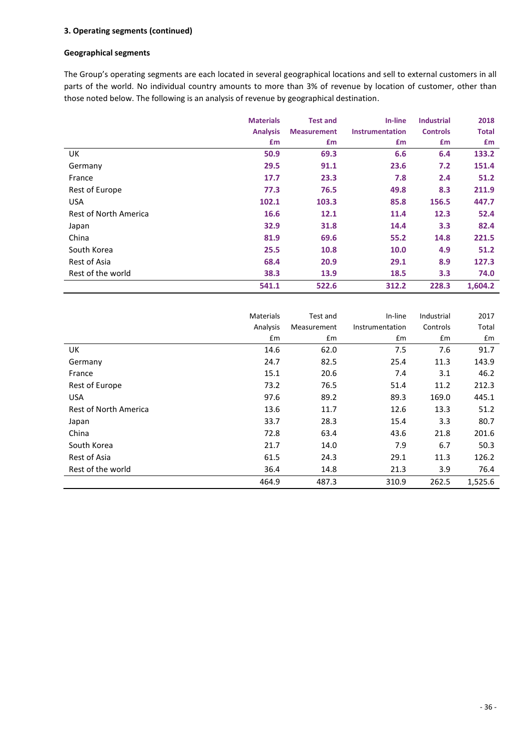### **3. Operating segments (continued)**

### **Geographical segments**

The Group's operating segments are each located in several geographical locations and sell to external customers in all parts of the world. No individual country amounts to more than 3% of revenue by location of customer, other than those noted below. The following is an analysis of revenue by geographical destination.

|                       | <b>Materials</b> | <b>Test and</b>    | In-line                | <b>Industrial</b> | 2018         |
|-----------------------|------------------|--------------------|------------------------|-------------------|--------------|
|                       | <b>Analysis</b>  | <b>Measurement</b> | <b>Instrumentation</b> | <b>Controls</b>   | <b>Total</b> |
|                       | £m               | £m                 | £m                     | £m                | £m           |
| UK                    | 50.9             | 69.3               | 6.6                    | 6.4               | 133.2        |
| Germany               | 29.5             | 91.1               | 23.6                   | 7.2               | 151.4        |
| France                | 17.7             | 23.3               | 7.8                    | 2.4               | 51.2         |
| Rest of Europe        | 77.3             | 76.5               | 49.8                   | 8.3               | 211.9        |
| <b>USA</b>            | 102.1            | 103.3              | 85.8                   | 156.5             | 447.7        |
| Rest of North America | 16.6             | 12.1               | 11.4                   | 12.3              | 52.4         |
| Japan                 | 32.9             | 31.8               | 14.4                   | 3.3               | 82.4         |
| China                 | 81.9             | 69.6               | 55.2                   | 14.8              | 221.5        |
| South Korea           | 25.5             | 10.8               | 10.0                   | 4.9               | 51.2         |
| Rest of Asia          | 68.4             | 20.9               | 29.1                   | 8.9               | 127.3        |
| Rest of the world     | 38.3             | 13.9               | 18.5                   | 3.3               | 74.0         |
|                       | 541.1            | 522.6              | 312.2                  | 228.3             | 1,604.2      |

|                       | <b>Materials</b> | Test and    | In-line         | Industrial | 2017    |
|-----------------------|------------------|-------------|-----------------|------------|---------|
|                       | Analysis         | Measurement | Instrumentation | Controls   | Total   |
|                       | £m               | £m          | £m              | £m         | £m      |
| UK                    | 14.6             | 62.0        | 7.5             | 7.6        | 91.7    |
| Germany               | 24.7             | 82.5        | 25.4            | 11.3       | 143.9   |
| France                | 15.1             | 20.6        | 7.4             | 3.1        | 46.2    |
| Rest of Europe        | 73.2             | 76.5        | 51.4            | 11.2       | 212.3   |
| <b>USA</b>            | 97.6             | 89.2        | 89.3            | 169.0      | 445.1   |
| Rest of North America | 13.6             | 11.7        | 12.6            | 13.3       | 51.2    |
| Japan                 | 33.7             | 28.3        | 15.4            | 3.3        | 80.7    |
| China                 | 72.8             | 63.4        | 43.6            | 21.8       | 201.6   |
| South Korea           | 21.7             | 14.0        | 7.9             | 6.7        | 50.3    |
| Rest of Asia          | 61.5             | 24.3        | 29.1            | 11.3       | 126.2   |
| Rest of the world     | 36.4             | 14.8        | 21.3            | 3.9        | 76.4    |
|                       | 464.9            | 487.3       | 310.9           | 262.5      | 1,525.6 |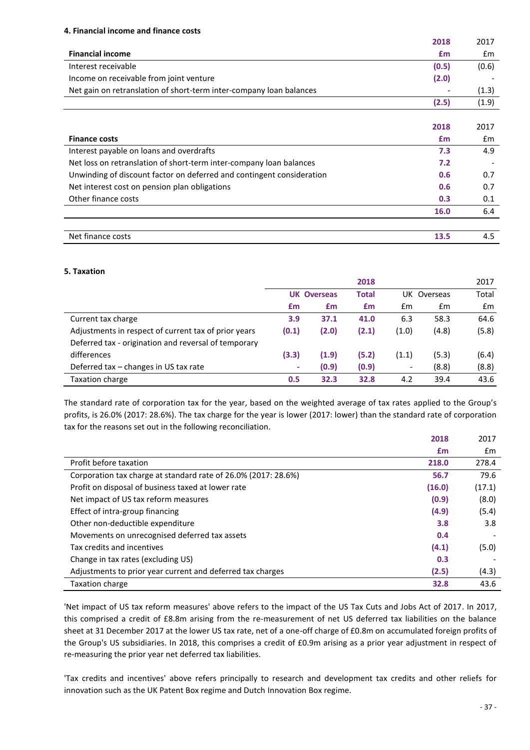### **4. Financial income and finance costs**

|                                                                       | 2018       | 2017          |
|-----------------------------------------------------------------------|------------|---------------|
| <b>Financial income</b>                                               | £m         | £m            |
| Interest receivable                                                   |            |               |
|                                                                       | (0.5)      | (0.6)         |
| Income on receivable from joint venture                               | (2.0)      |               |
| Net gain on retranslation of short-term inter-company loan balances   |            | (1.3)         |
|                                                                       | (2.5)      | (1.9)         |
|                                                                       |            |               |
|                                                                       | 2018       | 2017          |
| <b>Finance costs</b>                                                  | <b>f</b> m | $\mathsf{fm}$ |
| Interest payable on loans and overdrafts                              | 7.3        | 4.9           |
| Net loss on retranslation of short-term inter-company loan balances   | 7.2        |               |
| Unwinding of discount factor on deferred and contingent consideration | 0.6        | 0.7           |
| Net interest cost on pension plan obligations                         | 0.6        | 0.7           |
| Other finance costs                                                   | 0.3        | 0.1           |
|                                                                       | 16.0       | 6.4           |
|                                                                       |            |               |
| Net finance costs                                                     | 13.5       | 4.5           |

#### **5. Taxation**

|                                                      |       |                    | 2018  |                          |             | 2017          |
|------------------------------------------------------|-------|--------------------|-------|--------------------------|-------------|---------------|
|                                                      |       | <b>UK Overseas</b> | Total |                          | UK Overseas | Total         |
|                                                      | £m    | £m                 | £m    | £m                       | £m          | $\mathsf{fm}$ |
| Current tax charge                                   | 3.9   | 37.1               | 41.0  | 6.3                      | 58.3        | 64.6          |
| Adjustments in respect of current tax of prior years | (0.1) | (2.0)              | (2.1) | (1.0)                    | (4.8)       | (5.8)         |
| Deferred tax - origination and reversal of temporary |       |                    |       |                          |             |               |
| differences                                          | (3.3) | (1.9)              | (5.2) | (1.1)                    | (5.3)       | (6.4)         |
| Deferred tax - changes in US tax rate                | ٠     | (0.9)              | (0.9) | $\overline{\phantom{a}}$ | (8.8)       | (8.8)         |
| Taxation charge                                      | 0.5   | 32.3               | 32.8  | 4.2                      | 39.4        | 43.6          |

The standard rate of corporation tax for the year, based on the weighted average of tax rates applied to the Group's profits, is 26.0% (2017: 28.6%). The tax charge for the year is lower (2017: lower) than the standard rate of corporation tax for the reasons set out in the following reconciliation.

|                                                                | 2018   | 2017   |
|----------------------------------------------------------------|--------|--------|
|                                                                | £m     | £m     |
| Profit before taxation                                         | 218.0  | 278.4  |
| Corporation tax charge at standard rate of 26.0% (2017: 28.6%) | 56.7   | 79.6   |
| Profit on disposal of business taxed at lower rate             | (16.0) | (17.1) |
| Net impact of US tax reform measures                           | (0.9)  | (8.0)  |
| Effect of intra-group financing                                | (4.9)  | (5.4)  |
| Other non-deductible expenditure                               | 3.8    | 3.8    |
| Movements on unrecognised deferred tax assets                  | 0.4    |        |
| Tax credits and incentives                                     | (4.1)  | (5.0)  |
| Change in tax rates (excluding US)                             | 0.3    |        |
| Adjustments to prior year current and deferred tax charges     | (2.5)  | (4.3)  |
| Taxation charge                                                | 32.8   | 43.6   |

'Net impact of US tax reform measures' above refers to the impact of the US Tax Cuts and Jobs Act of 2017. In 2017, this comprised a credit of £8.8m arising from the re-measurement of net US deferred tax liabilities on the balance sheet at 31 December 2017 at the lower US tax rate, net of a one-off charge of £0.8m on accumulated foreign profits of the Group's US subsidiaries. In 2018, this comprises a credit of £0.9m arising as a prior year adjustment in respect of re-measuring the prior year net deferred tax liabilities.

'Tax credits and incentives' above refers principally to research and development tax credits and other reliefs for innovation such as the UK Patent Box regime and Dutch Innovation Box regime.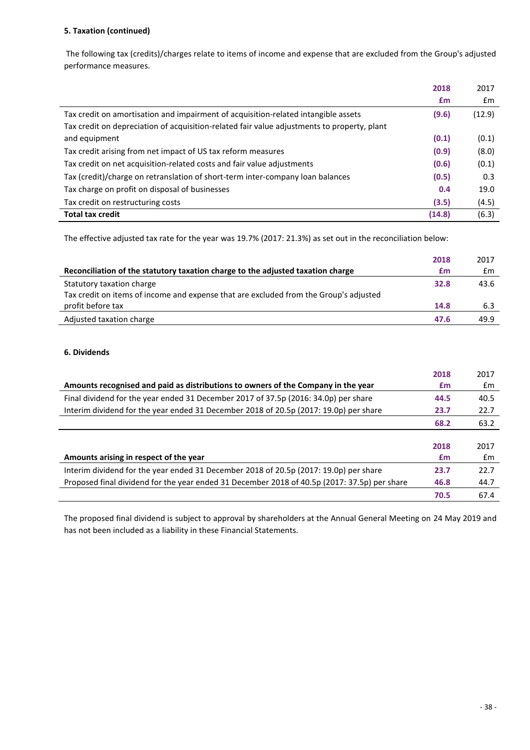### **5. Taxation (continued)**

The following tax (credits)/charges relate to items of income and expense that are excluded from the Group's adjusted performance measures.

|                                                                                             | 2018   | 2017   |
|---------------------------------------------------------------------------------------------|--------|--------|
|                                                                                             | £m     | Em     |
| Tax credit on amortisation and impairment of acquisition-related intangible assets          | (9.6)  | (12.9) |
| Tax credit on depreciation of acquisition-related fair value adjustments to property, plant |        |        |
| and equipment                                                                               | (0.1)  | (0.1)  |
| Tax credit arising from net impact of US tax reform measures                                | (0.9)  | (8.0)  |
| Tax credit on net acquisition-related costs and fair value adjustments                      | (0.6)  | (0.1)  |
| Tax (credit)/charge on retranslation of short-term inter-company loan balances              | (0.5)  | 0.3    |
| Tax charge on profit on disposal of businesses                                              | 0.4    | 19.0   |
| Tax credit on restructuring costs                                                           | (3.5)  | (4.5)  |
| <b>Total tax credit</b>                                                                     | (14.8) | (6.3)  |

The effective adjusted tax rate for the year was 19.7% (2017: 21.3%) as set out in the reconciliation below:

|                                                                                       | 2018 | 2017 |
|---------------------------------------------------------------------------------------|------|------|
| Reconciliation of the statutory taxation charge to the adjusted taxation charge       | £m   | £m   |
| Statutory taxation charge                                                             | 32.8 | 43.6 |
| Tax credit on items of income and expense that are excluded from the Group's adjusted |      |      |
| profit before tax                                                                     | 14.8 | 6.3  |
| Adjusted taxation charge                                                              | 47.6 | 49.9 |

### **6. Dividends**

|                                                                                              | 2018 | 2017 |
|----------------------------------------------------------------------------------------------|------|------|
| Amounts recognised and paid as distributions to owners of the Company in the year            | £m   | £m   |
| Final dividend for the year ended 31 December 2017 of 37.5p (2016: 34.0p) per share          | 44.5 | 40.5 |
| Interim dividend for the year ended 31 December 2018 of 20.5p (2017: 19.0p) per share        | 23.7 | 22.7 |
|                                                                                              | 68.2 | 63.2 |
|                                                                                              |      |      |
|                                                                                              | 2018 | 2017 |
| Amounts arising in respect of the year                                                       | £m   | Em   |
| Interim dividend for the year ended 31 December 2018 of 20.5p (2017: 19.0p) per share        | 23.7 | 22.7 |
| Proposed final dividend for the year ended 31 December 2018 of 40.5p (2017: 37.5p) per share | 46.8 | 44.7 |
|                                                                                              | 70.5 | 67.4 |

The proposed final dividend is subject to approval by shareholders at the Annual General Meeting on 24 May 2019 and has not been included as a liability in these Financial Statements.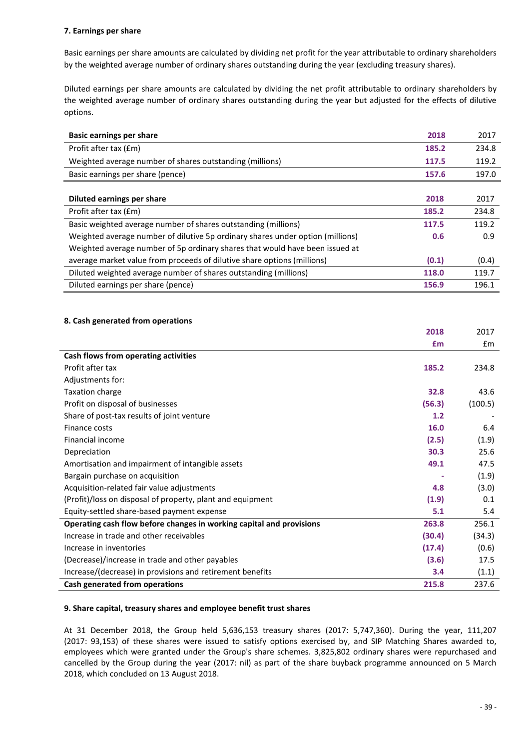### **7. Earnings per share**

Basic earnings per share amounts are calculated by dividing net profit for the year attributable to ordinary shareholders by the weighted average number of ordinary shares outstanding during the year (excluding treasury shares).

Diluted earnings per share amounts are calculated by dividing the net profit attributable to ordinary shareholders by the weighted average number of ordinary shares outstanding during the year but adjusted for the effects of dilutive options.

| <b>Basic earnings per share</b>                                                | 2018  | 2017  |
|--------------------------------------------------------------------------------|-------|-------|
| Profit after tax (£m)                                                          | 185.2 | 234.8 |
| Weighted average number of shares outstanding (millions)                       | 117.5 | 119.2 |
| Basic earnings per share (pence)                                               | 157.6 | 197.0 |
|                                                                                |       |       |
| <b>Diluted earnings per share</b>                                              | 2018  | 2017  |
| Profit after tax (£m)                                                          | 185.2 | 234.8 |
| Basic weighted average number of shares outstanding (millions)                 | 117.5 | 119.2 |
| Weighted average number of dilutive 5p ordinary shares under option (millions) | 0.6   | 0.9   |
| Weighted average number of 5p ordinary shares that would have been issued at   |       |       |
| average market value from proceeds of dilutive share options (millions)        | (0.1) | (0.4) |
| Diluted weighted average number of shares outstanding (millions)               | 118.0 | 119.7 |
| Diluted earnings per share (pence)                                             | 156.9 | 196.1 |

### **8. Cash generated from operations**

|                                                                      | 2018   | 2017           |
|----------------------------------------------------------------------|--------|----------------|
|                                                                      | £m     | $\mathbf{f}$ m |
| Cash flows from operating activities                                 |        |                |
| Profit after tax                                                     | 185.2  | 234.8          |
| Adjustments for:                                                     |        |                |
| Taxation charge                                                      | 32.8   | 43.6           |
| Profit on disposal of businesses                                     | (56.3) | (100.5)        |
| Share of post-tax results of joint venture                           | 1.2    |                |
| Finance costs                                                        | 16.0   | 6.4            |
| Financial income                                                     | (2.5)  | (1.9)          |
| Depreciation                                                         | 30.3   | 25.6           |
| Amortisation and impairment of intangible assets                     | 49.1   | 47.5           |
| Bargain purchase on acquisition                                      |        | (1.9)          |
| Acquisition-related fair value adjustments                           | 4.8    | (3.0)          |
| (Profit)/loss on disposal of property, plant and equipment           | (1.9)  | 0.1            |
| Equity-settled share-based payment expense                           | 5.1    | 5.4            |
| Operating cash flow before changes in working capital and provisions | 263.8  | 256.1          |
| Increase in trade and other receivables                              | (30.4) | (34.3)         |
| Increase in inventories                                              | (17.4) | (0.6)          |
| (Decrease)/increase in trade and other payables                      | (3.6)  | 17.5           |
| Increase/(decrease) in provisions and retirement benefits            | 3.4    | (1.1)          |
| Cash generated from operations                                       | 215.8  | 237.6          |

### **9. Share capital, treasury shares and employee benefit trust shares**

At 31 December 2018, the Group held 5,636,153 treasury shares (2017: 5,747,360). During the year, 111,207 (2017: 93,153) of these shares were issued to satisfy options exercised by, and SIP Matching Shares awarded to, employees which were granted under the Group's share schemes. 3,825,802 ordinary shares were repurchased and cancelled by the Group during the year (2017: nil) as part of the share buyback programme announced on 5 March 2018, which concluded on 13 August 2018.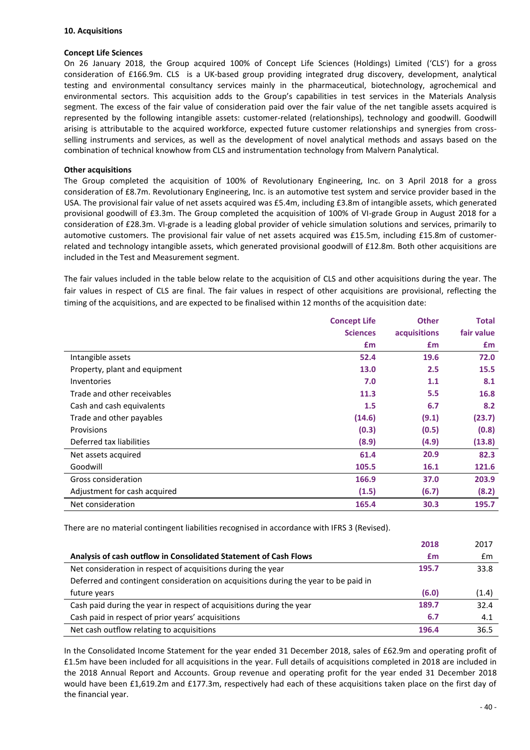### **Concept Life Sciences**

On 26 January 2018, the Group acquired 100% of Concept Life Sciences (Holdings) Limited ('CLS') for a gross consideration of £166.9m. CLS is a UK-based group providing integrated drug discovery, development, analytical testing and environmental consultancy services mainly in the pharmaceutical, biotechnology, agrochemical and environmental sectors. This acquisition adds to the Group's capabilities in test services in the Materials Analysis segment. The excess of the fair value of consideration paid over the fair value of the net tangible assets acquired is represented by the following intangible assets: customer-related (relationships), technology and goodwill. Goodwill arising is attributable to the acquired workforce, expected future customer relationships and synergies from crossselling instruments and services, as well as the development of novel analytical methods and assays based on the combination of technical knowhow from CLS and instrumentation technology from Malvern Panalytical.

#### **Other acquisitions**

The Group completed the acquisition of 100% of Revolutionary Engineering, Inc. on 3 April 2018 for a gross consideration of £8.7m. Revolutionary Engineering, Inc. is an automotive test system and service provider based in the USA. The provisional fair value of net assets acquired was £5.4m, including £3.8m of intangible assets, which generated provisional goodwill of £3.3m. The Group completed the acquisition of 100% of VI-grade Group in August 2018 for a consideration of £28.3m. VI-grade is a leading global provider of vehicle simulation solutions and services, primarily to automotive customers. The provisional fair value of net assets acquired was £15.5m, including £15.8m of customerrelated and technology intangible assets, which generated provisional goodwill of £12.8m. Both other acquisitions are included in the Test and Measurement segment.

The fair values included in the table below relate to the acquisition of CLS and other acquisitions during the year. The fair values in respect of CLS are final. The fair values in respect of other acquisitions are provisional, reflecting the timing of the acquisitions, and are expected to be finalised within 12 months of the acquisition date:

|                               | <b>Concept Life</b> | <b>Other</b> | <b>Total</b> |
|-------------------------------|---------------------|--------------|--------------|
|                               | <b>Sciences</b>     | acquisitions | fair value   |
|                               | £m                  | £m           | £m           |
| Intangible assets             | 52.4                | 19.6         | 72.0         |
| Property, plant and equipment | 13.0                | 2.5          | 15.5         |
| <b>Inventories</b>            | 7.0                 | 1.1          | 8.1          |
| Trade and other receivables   | 11.3                | 5.5          | 16.8         |
| Cash and cash equivalents     | 1.5                 | 6.7          | 8.2          |
| Trade and other payables      | (14.6)              | (9.1)        | (23.7)       |
| Provisions                    | (0.3)               | (0.5)        | (0.8)        |
| Deferred tax liabilities      | (8.9)               | (4.9)        | (13.8)       |
| Net assets acquired           | 61.4                | 20.9         | 82.3         |
| Goodwill                      | 105.5               | 16.1         | 121.6        |
| Gross consideration           | 166.9               | 37.0         | 203.9        |
| Adjustment for cash acquired  | (1.5)               | (6.7)        | (8.2)        |
| Net consideration             | 165.4               | 30.3         | 195.7        |

There are no material contingent liabilities recognised in accordance with IFRS 3 (Revised).

|                                                                                     | 2018  | 2017           |
|-------------------------------------------------------------------------------------|-------|----------------|
| Analysis of cash outflow in Consolidated Statement of Cash Flows                    | £m    | $\mathbf{f}$ m |
| Net consideration in respect of acquisitions during the year                        | 195.7 | 33.8           |
| Deferred and contingent consideration on acquisitions during the year to be paid in |       |                |
| future years                                                                        | (6.0) | (1.4)          |
| Cash paid during the year in respect of acquisitions during the year                | 189.7 | 32.4           |
| Cash paid in respect of prior years' acquisitions                                   | 6.7   | 4.1            |
| Net cash outflow relating to acquisitions                                           | 196.4 | 36.5           |

In the Consolidated Income Statement for the year ended 31 December 2018, sales of £62.9m and operating profit of £1.5m have been included for all acquisitions in the year. Full details of acquisitions completed in 2018 are included in the 2018 Annual Report and Accounts. Group revenue and operating profit for the year ended 31 December 2018 would have been £1,619.2m and £177.3m, respectively had each of these acquisitions taken place on the first day of the financial year.